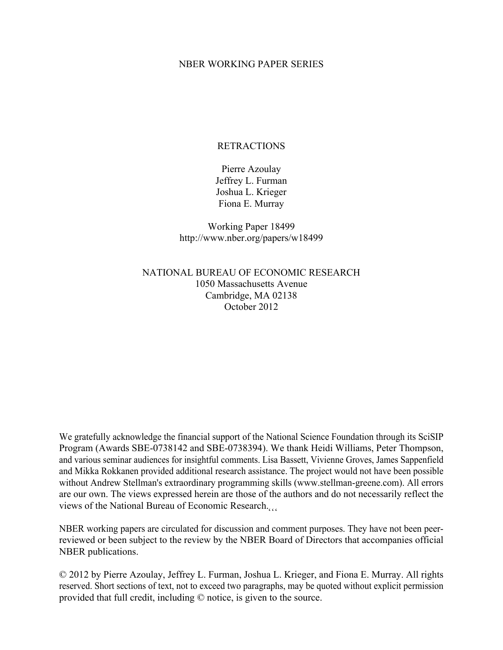### NBER WORKING PAPER SERIES

### RETRACTIONS

Pierre Azoulay Jeffrey L. Furman Joshua L. Krieger Fiona E. Murray

Working Paper 18499 http://www.nber.org/papers/w18499

NATIONAL BUREAU OF ECONOMIC RESEARCH 1050 Massachusetts Avenue Cambridge, MA 02138 October 2012

We gratefully acknowledge the financial support of the National Science Foundation through its SciSIP Program (Awards SBE-0738142 and SBE-0738394). We thank Heidi Williams, Peter Thompson, and various seminar audiences for insightful comments. Lisa Bassett, Vivienne Groves, James Sappenfield and Mikka Rokkanen provided additional research assistance. The project would not have been possible without Andrew Stellman's extraordinary programming skills (www.stellman-greene.com). All errors are our own. The views expressed herein are those of the authors and do not necessarily reflect the views of the National Bureau of Economic Research.

NBER working papers are circulated for discussion and comment purposes. They have not been peerreviewed or been subject to the review by the NBER Board of Directors that accompanies official NBER publications.

© 2012 by Pierre Azoulay, Jeffrey L. Furman, Joshua L. Krieger, and Fiona E. Murray. All rights reserved. Short sections of text, not to exceed two paragraphs, may be quoted without explicit permission provided that full credit, including © notice, is given to the source.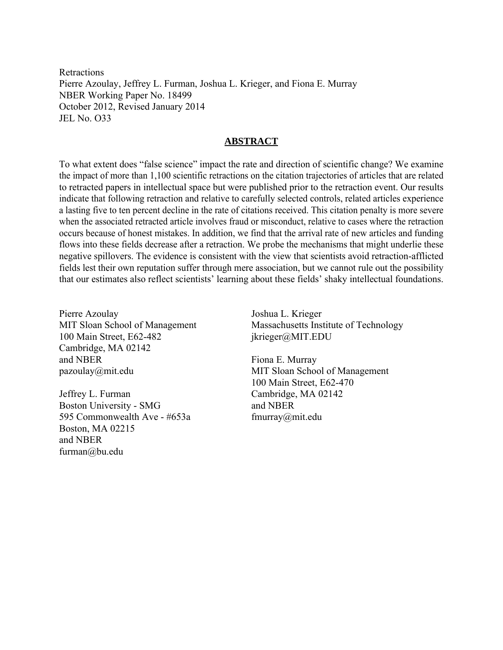**Retractions** Pierre Azoulay, Jeffrey L. Furman, Joshua L. Krieger, and Fiona E. Murray NBER Working Paper No. 18499 October 2012, Revised January 2014 JEL No. O33

## **ABSTRACT**

To what extent does "false science" impact the rate and direction of scientific change? We examine the impact of more than 1,100 scientific retractions on the citation trajectories of articles that are related to retracted papers in intellectual space but were published prior to the retraction event. Our results indicate that following retraction and relative to carefully selected controls, related articles experience a lasting five to ten percent decline in the rate of citations received. This citation penalty is more severe when the associated retracted article involves fraud or misconduct, relative to cases where the retraction occurs because of honest mistakes. In addition, we find that the arrival rate of new articles and funding flows into these fields decrease after a retraction. We probe the mechanisms that might underlie these negative spillovers. The evidence is consistent with the view that scientists avoid retraction-afflicted fields lest their own reputation suffer through mere association, but we cannot rule out the possibility that our estimates also reflect scientists' learning about these fields' shaky intellectual foundations.

Pierre Azoulay MIT Sloan School of Management 100 Main Street, E62-482 Cambridge, MA 02142 and NBER pazoulay@mit.edu

Jeffrey L. Furman Boston University - SMG 595 Commonwealth Ave - #653a Boston, MA 02215 and NBER furman@bu.edu

Joshua L. Krieger Massachusetts Institute of Technology jkrieger@MIT.EDU

Fiona E. Murray MIT Sloan School of Management 100 Main Street, E62-470 Cambridge, MA 02142 and NBER fmurray@mit.edu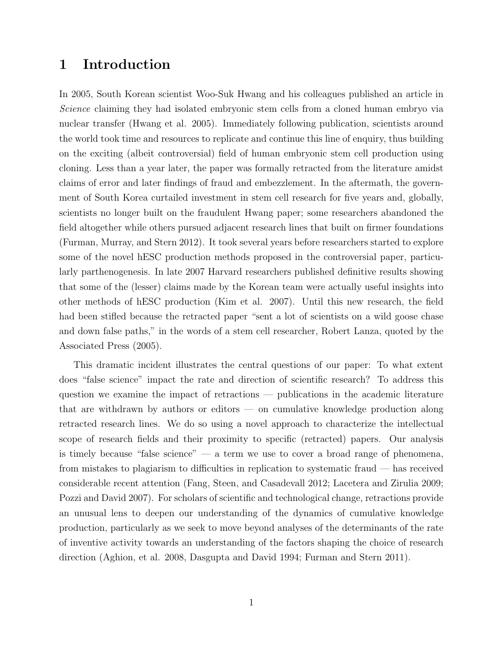# 1 Introduction

In 2005, South Korean scientist Woo-Suk Hwang and his colleagues published an article in Science claiming they had isolated embryonic stem cells from a cloned human embryo via nuclear transfer (Hwang et al. 2005). Immediately following publication, scientists around the world took time and resources to replicate and continue this line of enquiry, thus building on the exciting (albeit controversial) field of human embryonic stem cell production using cloning. Less than a year later, the paper was formally retracted from the literature amidst claims of error and later findings of fraud and embezzlement. In the aftermath, the government of South Korea curtailed investment in stem cell research for five years and, globally, scientists no longer built on the fraudulent Hwang paper; some researchers abandoned the field altogether while others pursued adjacent research lines that built on firmer foundations (Furman, Murray, and Stern 2012). It took several years before researchers started to explore some of the novel hESC production methods proposed in the controversial paper, particularly parthenogenesis. In late 2007 Harvard researchers published definitive results showing that some of the (lesser) claims made by the Korean team were actually useful insights into other methods of hESC production (Kim et al. 2007). Until this new research, the field had been stifled because the retracted paper "sent a lot of scientists on a wild goose chase and down false paths," in the words of a stem cell researcher, Robert Lanza, quoted by the Associated Press (2005).

This dramatic incident illustrates the central questions of our paper: To what extent does "false science" impact the rate and direction of scientific research? To address this question we examine the impact of retractions — publications in the academic literature that are withdrawn by authors or editors — on cumulative knowledge production along retracted research lines. We do so using a novel approach to characterize the intellectual scope of research fields and their proximity to specific (retracted) papers. Our analysis is timely because "false science"  $-$  a term we use to cover a broad range of phenomena, from mistakes to plagiarism to difficulties in replication to systematic fraud — has received considerable recent attention (Fang, Steen, and Casadevall 2012; Lacetera and Zirulia 2009; Pozzi and David 2007). For scholars of scientific and technological change, retractions provide an unusual lens to deepen our understanding of the dynamics of cumulative knowledge production, particularly as we seek to move beyond analyses of the determinants of the rate of inventive activity towards an understanding of the factors shaping the choice of research direction (Aghion, et al. 2008, Dasgupta and David 1994; Furman and Stern 2011).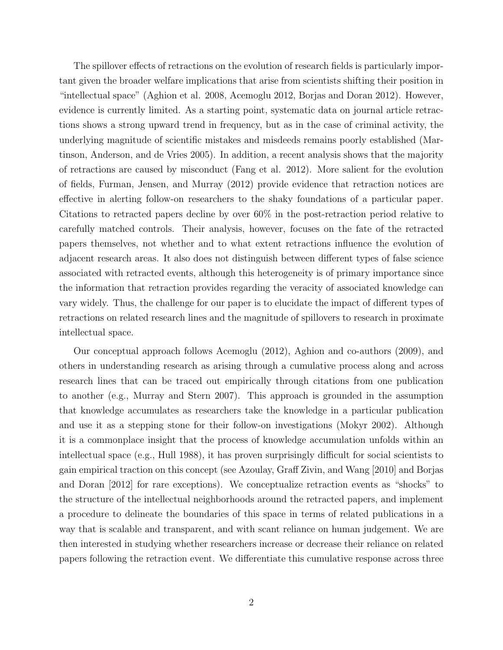The spillover effects of retractions on the evolution of research fields is particularly important given the broader welfare implications that arise from scientists shifting their position in "intellectual space" (Aghion et al. 2008, Acemoglu 2012, Borjas and Doran 2012). However, evidence is currently limited. As a starting point, systematic data on journal article retractions shows a strong upward trend in frequency, but as in the case of criminal activity, the underlying magnitude of scientific mistakes and misdeeds remains poorly established (Martinson, Anderson, and de Vries 2005). In addition, a recent analysis shows that the majority of retractions are caused by misconduct (Fang et al. 2012). More salient for the evolution of fields, Furman, Jensen, and Murray (2012) provide evidence that retraction notices are effective in alerting follow-on researchers to the shaky foundations of a particular paper. Citations to retracted papers decline by over 60% in the post-retraction period relative to carefully matched controls. Their analysis, however, focuses on the fate of the retracted papers themselves, not whether and to what extent retractions influence the evolution of adjacent research areas. It also does not distinguish between different types of false science associated with retracted events, although this heterogeneity is of primary importance since the information that retraction provides regarding the veracity of associated knowledge can vary widely. Thus, the challenge for our paper is to elucidate the impact of different types of retractions on related research lines and the magnitude of spillovers to research in proximate intellectual space.

Our conceptual approach follows Acemoglu (2012), Aghion and co-authors (2009), and others in understanding research as arising through a cumulative process along and across research lines that can be traced out empirically through citations from one publication to another (e.g., Murray and Stern 2007). This approach is grounded in the assumption that knowledge accumulates as researchers take the knowledge in a particular publication and use it as a stepping stone for their follow-on investigations (Mokyr 2002). Although it is a commonplace insight that the process of knowledge accumulation unfolds within an intellectual space (e.g., Hull 1988), it has proven surprisingly difficult for social scientists to gain empirical traction on this concept (see Azoulay, Graff Zivin, and Wang [2010] and Borjas and Doran [2012] for rare exceptions). We conceptualize retraction events as "shocks" to the structure of the intellectual neighborhoods around the retracted papers, and implement a procedure to delineate the boundaries of this space in terms of related publications in a way that is scalable and transparent, and with scant reliance on human judgement. We are then interested in studying whether researchers increase or decrease their reliance on related papers following the retraction event. We differentiate this cumulative response across three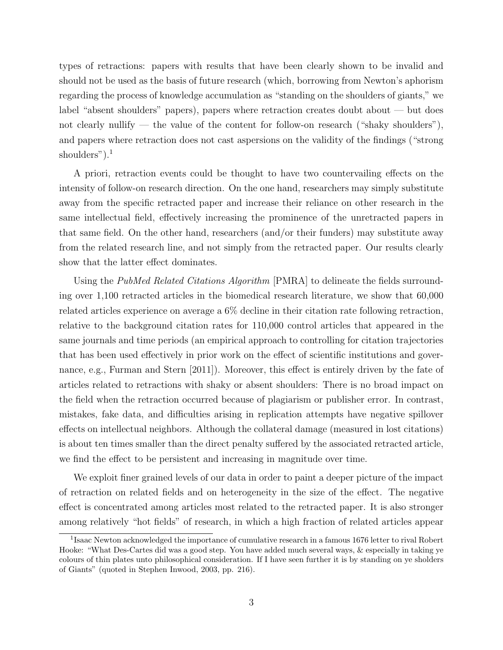types of retractions: papers with results that have been clearly shown to be invalid and should not be used as the basis of future research (which, borrowing from Newton's aphorism regarding the process of knowledge accumulation as "standing on the shoulders of giants," we label "absent shoulders" papers), papers where retraction creates doubt about — but does not clearly nullify — the value of the content for follow-on research ("shaky shoulders"), and papers where retraction does not cast aspersions on the validity of the findings ("strong shoulders" $).<sup>1</sup>$ 

A priori, retraction events could be thought to have two countervailing effects on the intensity of follow-on research direction. On the one hand, researchers may simply substitute away from the specific retracted paper and increase their reliance on other research in the same intellectual field, effectively increasing the prominence of the unretracted papers in that same field. On the other hand, researchers (and/or their funders) may substitute away from the related research line, and not simply from the retracted paper. Our results clearly show that the latter effect dominates.

Using the PubMed Related Citations Algorithm [PMRA] to delineate the fields surrounding over 1,100 retracted articles in the biomedical research literature, we show that 60,000 related articles experience on average a 6% decline in their citation rate following retraction, relative to the background citation rates for 110,000 control articles that appeared in the same journals and time periods (an empirical approach to controlling for citation trajectories that has been used effectively in prior work on the effect of scientific institutions and governance, e.g., Furman and Stern [2011]). Moreover, this effect is entirely driven by the fate of articles related to retractions with shaky or absent shoulders: There is no broad impact on the field when the retraction occurred because of plagiarism or publisher error. In contrast, mistakes, fake data, and difficulties arising in replication attempts have negative spillover effects on intellectual neighbors. Although the collateral damage (measured in lost citations) is about ten times smaller than the direct penalty suffered by the associated retracted article, we find the effect to be persistent and increasing in magnitude over time.

We exploit finer grained levels of our data in order to paint a deeper picture of the impact of retraction on related fields and on heterogeneity in the size of the effect. The negative effect is concentrated among articles most related to the retracted paper. It is also stronger among relatively "hot fields" of research, in which a high fraction of related articles appear

<sup>&</sup>lt;sup>1</sup>Isaac Newton acknowledged the importance of cumulative research in a famous 1676 letter to rival Robert Hooke: "What Des-Cartes did was a good step. You have added much several ways, & especially in taking ye colours of thin plates unto philosophical consideration. If I have seen further it is by standing on ye sholders of Giants" (quoted in Stephen Inwood, 2003, pp. 216).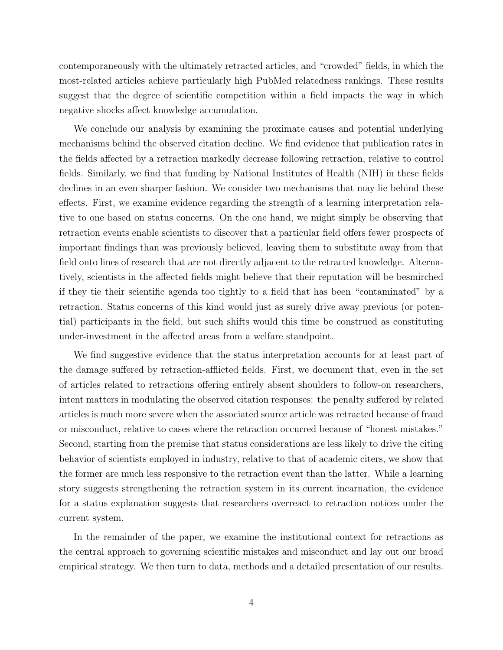contemporaneously with the ultimately retracted articles, and "crowded" fields, in which the most-related articles achieve particularly high PubMed relatedness rankings. These results suggest that the degree of scientific competition within a field impacts the way in which negative shocks affect knowledge accumulation.

We conclude our analysis by examining the proximate causes and potential underlying mechanisms behind the observed citation decline. We find evidence that publication rates in the fields affected by a retraction markedly decrease following retraction, relative to control fields. Similarly, we find that funding by National Institutes of Health (NIH) in these fields declines in an even sharper fashion. We consider two mechanisms that may lie behind these effects. First, we examine evidence regarding the strength of a learning interpretation relative to one based on status concerns. On the one hand, we might simply be observing that retraction events enable scientists to discover that a particular field offers fewer prospects of important findings than was previously believed, leaving them to substitute away from that field onto lines of research that are not directly adjacent to the retracted knowledge. Alternatively, scientists in the affected fields might believe that their reputation will be besmirched if they tie their scientific agenda too tightly to a field that has been "contaminated" by a retraction. Status concerns of this kind would just as surely drive away previous (or potential) participants in the field, but such shifts would this time be construed as constituting under-investment in the affected areas from a welfare standpoint.

We find suggestive evidence that the status interpretation accounts for at least part of the damage suffered by retraction-afflicted fields. First, we document that, even in the set of articles related to retractions offering entirely absent shoulders to follow-on researchers, intent matters in modulating the observed citation responses: the penalty suffered by related articles is much more severe when the associated source article was retracted because of fraud or misconduct, relative to cases where the retraction occurred because of "honest mistakes." Second, starting from the premise that status considerations are less likely to drive the citing behavior of scientists employed in industry, relative to that of academic citers, we show that the former are much less responsive to the retraction event than the latter. While a learning story suggests strengthening the retraction system in its current incarnation, the evidence for a status explanation suggests that researchers overreact to retraction notices under the current system.

In the remainder of the paper, we examine the institutional context for retractions as the central approach to governing scientific mistakes and misconduct and lay out our broad empirical strategy. We then turn to data, methods and a detailed presentation of our results.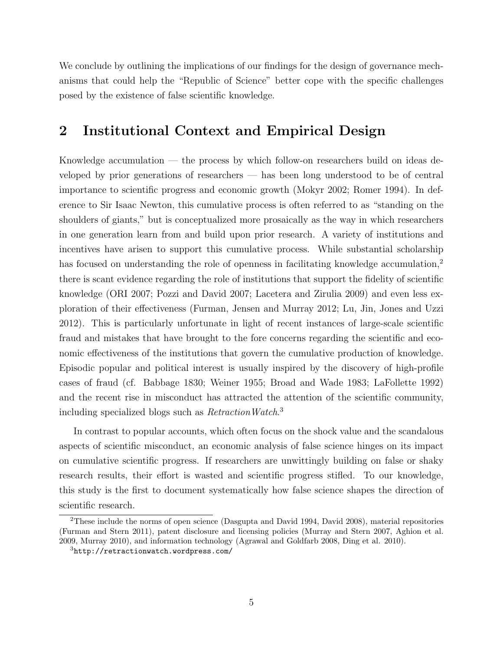We conclude by outlining the implications of our findings for the design of governance mechanisms that could help the "Republic of Science" better cope with the specific challenges posed by the existence of false scientific knowledge.

# 2 Institutional Context and Empirical Design

Knowledge accumulation — the process by which follow-on researchers build on ideas developed by prior generations of researchers — has been long understood to be of central importance to scientific progress and economic growth (Mokyr 2002; Romer 1994). In deference to Sir Isaac Newton, this cumulative process is often referred to as "standing on the shoulders of giants," but is conceptualized more prosaically as the way in which researchers in one generation learn from and build upon prior research. A variety of institutions and incentives have arisen to support this cumulative process. While substantial scholarship has focused on understanding the role of openness in facilitating knowledge accumulation,<sup>2</sup> there is scant evidence regarding the role of institutions that support the fidelity of scientific knowledge (ORI 2007; Pozzi and David 2007; Lacetera and Zirulia 2009) and even less exploration of their effectiveness (Furman, Jensen and Murray 2012; Lu, Jin, Jones and Uzzi 2012). This is particularly unfortunate in light of recent instances of large-scale scientific fraud and mistakes that have brought to the fore concerns regarding the scientific and economic effectiveness of the institutions that govern the cumulative production of knowledge. Episodic popular and political interest is usually inspired by the discovery of high-profile cases of fraud (cf. Babbage 1830; Weiner 1955; Broad and Wade 1983; LaFollette 1992) and the recent rise in misconduct has attracted the attention of the scientific community, including specialized blogs such as  $Retraction Watch$ <sup>3</sup>

In contrast to popular accounts, which often focus on the shock value and the scandalous aspects of scientific misconduct, an economic analysis of false science hinges on its impact on cumulative scientific progress. If researchers are unwittingly building on false or shaky research results, their effort is wasted and scientific progress stifled. To our knowledge, this study is the first to document systematically how false science shapes the direction of scientific research.

<sup>2</sup>These include the norms of open science (Dasgupta and David 1994, David 2008), material repositories (Furman and Stern 2011), patent disclosure and licensing policies (Murray and Stern 2007, Aghion et al. 2009, Murray 2010), and information technology (Agrawal and Goldfarb 2008, Ding et al. 2010).

<sup>3</sup>http://retractionwatch.wordpress.com/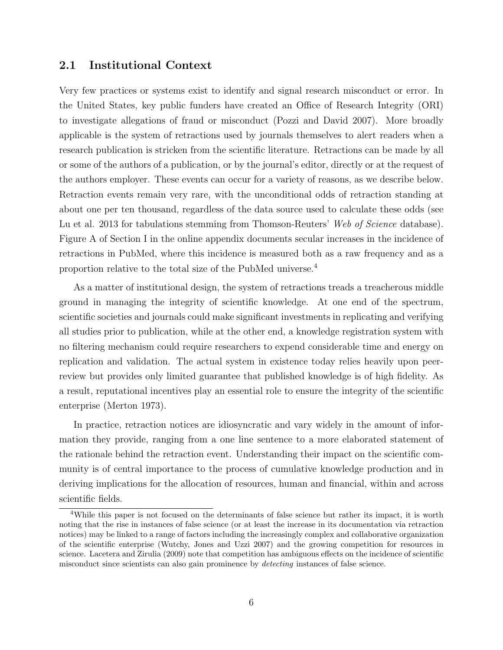## 2.1 Institutional Context

Very few practices or systems exist to identify and signal research misconduct or error. In the United States, key public funders have created an Office of Research Integrity (ORI) to investigate allegations of fraud or misconduct (Pozzi and David 2007). More broadly applicable is the system of retractions used by journals themselves to alert readers when a research publication is stricken from the scientific literature. Retractions can be made by all or some of the authors of a publication, or by the journal's editor, directly or at the request of the authors employer. These events can occur for a variety of reasons, as we describe below. Retraction events remain very rare, with the unconditional odds of retraction standing at about one per ten thousand, regardless of the data source used to calculate these odds (see Lu et al. 2013 for tabulations stemming from Thomson-Reuters' Web of Science database). Figure A of Section I in the online appendix documents secular increases in the incidence of retractions in PubMed, where this incidence is measured both as a raw frequency and as a proportion relative to the total size of the PubMed universe.<sup>4</sup>

As a matter of institutional design, the system of retractions treads a treacherous middle ground in managing the integrity of scientific knowledge. At one end of the spectrum, scientific societies and journals could make significant investments in replicating and verifying all studies prior to publication, while at the other end, a knowledge registration system with no filtering mechanism could require researchers to expend considerable time and energy on replication and validation. The actual system in existence today relies heavily upon peerreview but provides only limited guarantee that published knowledge is of high fidelity. As a result, reputational incentives play an essential role to ensure the integrity of the scientific enterprise (Merton 1973).

In practice, retraction notices are idiosyncratic and vary widely in the amount of information they provide, ranging from a one line sentence to a more elaborated statement of the rationale behind the retraction event. Understanding their impact on the scientific community is of central importance to the process of cumulative knowledge production and in deriving implications for the allocation of resources, human and financial, within and across scientific fields.

<sup>4</sup>While this paper is not focused on the determinants of false science but rather its impact, it is worth noting that the rise in instances of false science (or at least the increase in its documentation via retraction notices) may be linked to a range of factors including the increasingly complex and collaborative organization of the scientific enterprise (Wutchy, Jones and Uzzi 2007) and the growing competition for resources in science. Lacetera and Zirulia (2009) note that competition has ambiguous effects on the incidence of scientific misconduct since scientists can also gain prominence by *detecting* instances of false science.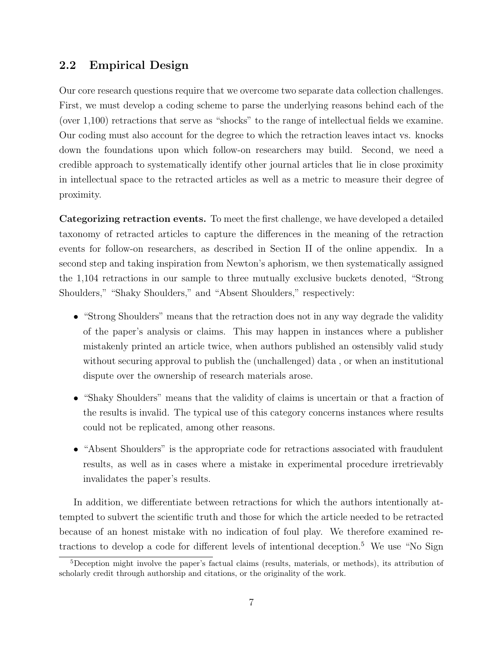## 2.2 Empirical Design

Our core research questions require that we overcome two separate data collection challenges. First, we must develop a coding scheme to parse the underlying reasons behind each of the (over 1,100) retractions that serve as "shocks" to the range of intellectual fields we examine. Our coding must also account for the degree to which the retraction leaves intact vs. knocks down the foundations upon which follow-on researchers may build. Second, we need a credible approach to systematically identify other journal articles that lie in close proximity in intellectual space to the retracted articles as well as a metric to measure their degree of proximity.

Categorizing retraction events. To meet the first challenge, we have developed a detailed taxonomy of retracted articles to capture the differences in the meaning of the retraction events for follow-on researchers, as described in Section II of the online appendix. In a second step and taking inspiration from Newton's aphorism, we then systematically assigned the 1,104 retractions in our sample to three mutually exclusive buckets denoted, "Strong Shoulders," "Shaky Shoulders," and "Absent Shoulders," respectively:

- "Strong Shoulders" means that the retraction does not in any way degrade the validity of the paper's analysis or claims. This may happen in instances where a publisher mistakenly printed an article twice, when authors published an ostensibly valid study without securing approval to publish the (unchallenged) data , or when an institutional dispute over the ownership of research materials arose.
- "Shaky Shoulders" means that the validity of claims is uncertain or that a fraction of the results is invalid. The typical use of this category concerns instances where results could not be replicated, among other reasons.
- "Absent Shoulders" is the appropriate code for retractions associated with fraudulent results, as well as in cases where a mistake in experimental procedure irretrievably invalidates the paper's results.

In addition, we differentiate between retractions for which the authors intentionally attempted to subvert the scientific truth and those for which the article needed to be retracted because of an honest mistake with no indication of foul play. We therefore examined retractions to develop a code for different levels of intentional deception.<sup>5</sup> We use "No Sign

<sup>5</sup>Deception might involve the paper's factual claims (results, materials, or methods), its attribution of scholarly credit through authorship and citations, or the originality of the work.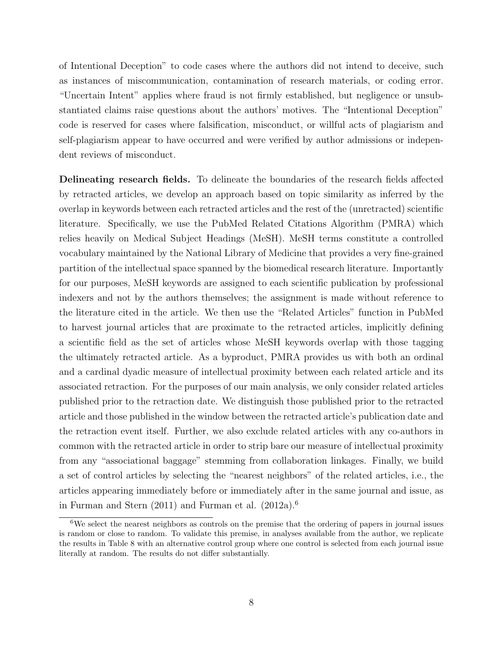of Intentional Deception" to code cases where the authors did not intend to deceive, such as instances of miscommunication, contamination of research materials, or coding error. "Uncertain Intent" applies where fraud is not firmly established, but negligence or unsubstantiated claims raise questions about the authors' motives. The "Intentional Deception" code is reserved for cases where falsification, misconduct, or willful acts of plagiarism and self-plagiarism appear to have occurred and were verified by author admissions or independent reviews of misconduct.

Delineating research fields. To delineate the boundaries of the research fields affected by retracted articles, we develop an approach based on topic similarity as inferred by the overlap in keywords between each retracted articles and the rest of the (unretracted) scientific literature. Specifically, we use the PubMed Related Citations Algorithm (PMRA) which relies heavily on Medical Subject Headings (MeSH). MeSH terms constitute a controlled vocabulary maintained by the National Library of Medicine that provides a very fine-grained partition of the intellectual space spanned by the biomedical research literature. Importantly for our purposes, MeSH keywords are assigned to each scientific publication by professional indexers and not by the authors themselves; the assignment is made without reference to the literature cited in the article. We then use the "Related Articles" function in PubMed to harvest journal articles that are proximate to the retracted articles, implicitly defining a scientific field as the set of articles whose MeSH keywords overlap with those tagging the ultimately retracted article. As a byproduct, PMRA provides us with both an ordinal and a cardinal dyadic measure of intellectual proximity between each related article and its associated retraction. For the purposes of our main analysis, we only consider related articles published prior to the retraction date. We distinguish those published prior to the retracted article and those published in the window between the retracted article's publication date and the retraction event itself. Further, we also exclude related articles with any co-authors in common with the retracted article in order to strip bare our measure of intellectual proximity from any "associational baggage" stemming from collaboration linkages. Finally, we build a set of control articles by selecting the "nearest neighbors" of the related articles, i.e., the articles appearing immediately before or immediately after in the same journal and issue, as in Furman and Stern (2011) and Furman et al. (2012a).<sup>6</sup>

<sup>6</sup>We select the nearest neighbors as controls on the premise that the ordering of papers in journal issues is random or close to random. To validate this premise, in analyses available from the author, we replicate the results in Table 8 with an alternative control group where one control is selected from each journal issue literally at random. The results do not differ substantially.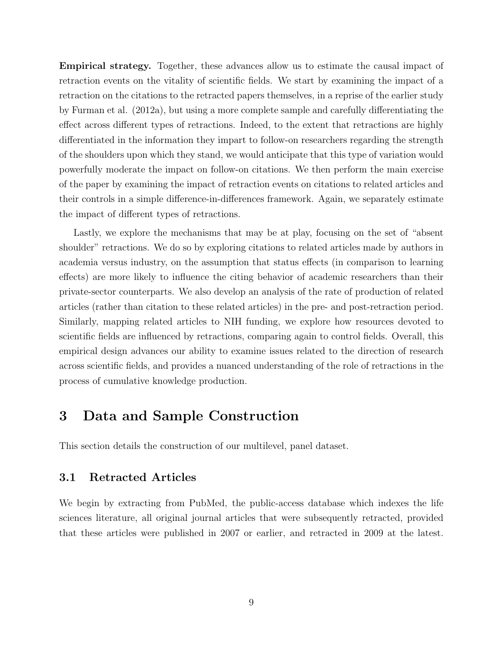Empirical strategy. Together, these advances allow us to estimate the causal impact of retraction events on the vitality of scientific fields. We start by examining the impact of a retraction on the citations to the retracted papers themselves, in a reprise of the earlier study by Furman et al. (2012a), but using a more complete sample and carefully differentiating the effect across different types of retractions. Indeed, to the extent that retractions are highly differentiated in the information they impart to follow-on researchers regarding the strength of the shoulders upon which they stand, we would anticipate that this type of variation would powerfully moderate the impact on follow-on citations. We then perform the main exercise of the paper by examining the impact of retraction events on citations to related articles and their controls in a simple difference-in-differences framework. Again, we separately estimate the impact of different types of retractions.

Lastly, we explore the mechanisms that may be at play, focusing on the set of "absent shoulder" retractions. We do so by exploring citations to related articles made by authors in academia versus industry, on the assumption that status effects (in comparison to learning effects) are more likely to influence the citing behavior of academic researchers than their private-sector counterparts. We also develop an analysis of the rate of production of related articles (rather than citation to these related articles) in the pre- and post-retraction period. Similarly, mapping related articles to NIH funding, we explore how resources devoted to scientific fields are influenced by retractions, comparing again to control fields. Overall, this empirical design advances our ability to examine issues related to the direction of research across scientific fields, and provides a nuanced understanding of the role of retractions in the process of cumulative knowledge production.

# 3 Data and Sample Construction

This section details the construction of our multilevel, panel dataset.

## 3.1 Retracted Articles

We begin by extracting from PubMed, the public-access database which indexes the life sciences literature, all original journal articles that were subsequently retracted, provided that these articles were published in 2007 or earlier, and retracted in 2009 at the latest.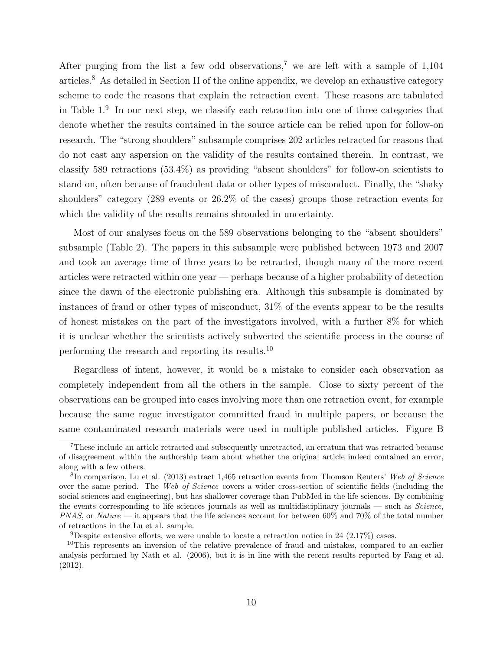After purging from the list a few odd observations,<sup>7</sup> we are left with a sample of  $1,104$ articles.<sup>8</sup> As detailed in Section II of the online appendix, we develop an exhaustive category scheme to code the reasons that explain the retraction event. These reasons are tabulated in Table 1.<sup>9</sup> In our next step, we classify each retraction into one of three categories that denote whether the results contained in the source article can be relied upon for follow-on research. The "strong shoulders" subsample comprises 202 articles retracted for reasons that do not cast any aspersion on the validity of the results contained therein. In contrast, we classify 589 retractions (53.4%) as providing "absent shoulders" for follow-on scientists to stand on, often because of fraudulent data or other types of misconduct. Finally, the "shaky shoulders" category (289 events or 26.2% of the cases) groups those retraction events for which the validity of the results remains shrouded in uncertainty.

Most of our analyses focus on the 589 observations belonging to the "absent shoulders" subsample (Table 2). The papers in this subsample were published between 1973 and 2007 and took an average time of three years to be retracted, though many of the more recent articles were retracted within one year — perhaps because of a higher probability of detection since the dawn of the electronic publishing era. Although this subsample is dominated by instances of fraud or other types of misconduct, 31% of the events appear to be the results of honest mistakes on the part of the investigators involved, with a further 8% for which it is unclear whether the scientists actively subverted the scientific process in the course of performing the research and reporting its results.<sup>10</sup>

Regardless of intent, however, it would be a mistake to consider each observation as completely independent from all the others in the sample. Close to sixty percent of the observations can be grouped into cases involving more than one retraction event, for example because the same rogue investigator committed fraud in multiple papers, or because the same contaminated research materials were used in multiple published articles. Figure B

 $7$ These include an article retracted and subsequently unretracted, an erratum that was retracted because of disagreement within the authorship team about whether the original article indeed contained an error, along with a few others.

 ${}^{8}$ In comparison, Lu et al. (2013) extract 1,465 retraction events from Thomson Reuters' Web of Science over the same period. The Web of Science covers a wider cross-section of scientific fields (including the social sciences and engineering), but has shallower coverage than PubMed in the life sciences. By combining the events corresponding to life sciences journals as well as multidisciplinary journals — such as Science, PNAS, or Nature — it appears that the life sciences account for between  $60\%$  and  $70\%$  of the total number of retractions in the Lu et al. sample.

<sup>&</sup>lt;sup>9</sup>Despite extensive efforts, we were unable to locate a retraction notice in 24 (2.17%) cases.

<sup>&</sup>lt;sup>10</sup>This represents an inversion of the relative prevalence of fraud and mistakes, compared to an earlier analysis performed by Nath et al. (2006), but it is in line with the recent results reported by Fang et al. (2012).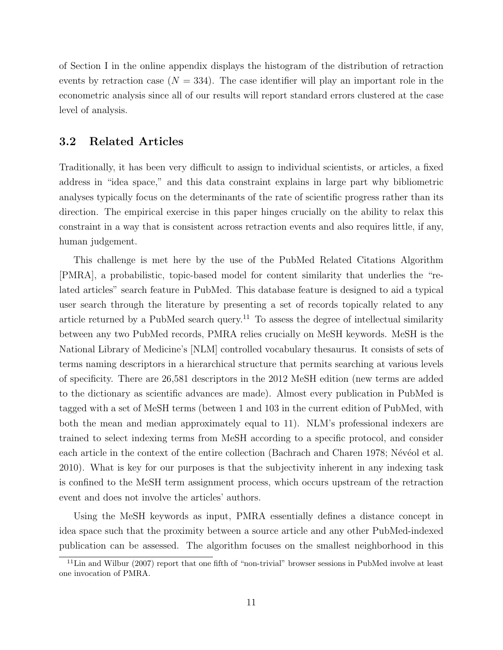of Section I in the online appendix displays the histogram of the distribution of retraction events by retraction case  $(N = 334)$ . The case identifier will play an important role in the econometric analysis since all of our results will report standard errors clustered at the case level of analysis.

### 3.2 Related Articles

Traditionally, it has been very difficult to assign to individual scientists, or articles, a fixed address in "idea space," and this data constraint explains in large part why bibliometric analyses typically focus on the determinants of the rate of scientific progress rather than its direction. The empirical exercise in this paper hinges crucially on the ability to relax this constraint in a way that is consistent across retraction events and also requires little, if any, human judgement.

This challenge is met here by the use of the PubMed Related Citations Algorithm [PMRA], a probabilistic, topic-based model for content similarity that underlies the "related articles" search feature in PubMed. This database feature is designed to aid a typical user search through the literature by presenting a set of records topically related to any article returned by a PubMed search query.<sup>11</sup> To assess the degree of intellectual similarity between any two PubMed records, PMRA relies crucially on MeSH keywords. MeSH is the National Library of Medicine's [NLM] controlled vocabulary thesaurus. It consists of sets of terms naming descriptors in a hierarchical structure that permits searching at various levels of specificity. There are 26,581 descriptors in the 2012 MeSH edition (new terms are added to the dictionary as scientific advances are made). Almost every publication in PubMed is tagged with a set of MeSH terms (between 1 and 103 in the current edition of PubMed, with both the mean and median approximately equal to 11). NLM's professional indexers are trained to select indexing terms from MeSH according to a specific protocol, and consider each article in the context of the entire collection (Bachrach and Charen 1978; Névéol et al. 2010). What is key for our purposes is that the subjectivity inherent in any indexing task is confined to the MeSH term assignment process, which occurs upstream of the retraction event and does not involve the articles' authors.

Using the MeSH keywords as input, PMRA essentially defines a distance concept in idea space such that the proximity between a source article and any other PubMed-indexed publication can be assessed. The algorithm focuses on the smallest neighborhood in this

 $11$ Lin and Wilbur (2007) report that one fifth of "non-trivial" browser sessions in PubMed involve at least one invocation of PMRA.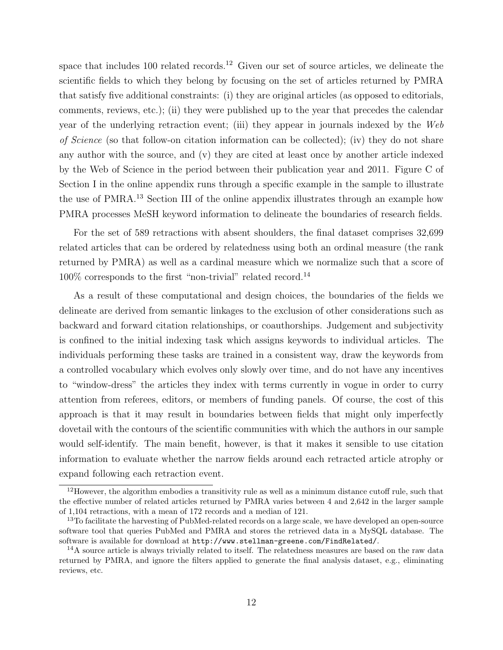space that includes 100 related records.<sup>12</sup> Given our set of source articles, we delineate the scientific fields to which they belong by focusing on the set of articles returned by PMRA that satisfy five additional constraints: (i) they are original articles (as opposed to editorials, comments, reviews, etc.); (ii) they were published up to the year that precedes the calendar year of the underlying retraction event; (iii) they appear in journals indexed by the Web of Science (so that follow-on citation information can be collected); (iv) they do not share any author with the source, and (v) they are cited at least once by another article indexed by the Web of Science in the period between their publication year and 2011. Figure C of Section I in the online appendix runs through a specific example in the sample to illustrate the use of PMRA.<sup>13</sup> Section III of the online appendix illustrates through an example how PMRA processes MeSH keyword information to delineate the boundaries of research fields.

For the set of 589 retractions with absent shoulders, the final dataset comprises 32,699 related articles that can be ordered by relatedness using both an ordinal measure (the rank returned by PMRA) as well as a cardinal measure which we normalize such that a score of 100% corresponds to the first "non-trivial" related record.<sup>14</sup>

As a result of these computational and design choices, the boundaries of the fields we delineate are derived from semantic linkages to the exclusion of other considerations such as backward and forward citation relationships, or coauthorships. Judgement and subjectivity is confined to the initial indexing task which assigns keywords to individual articles. The individuals performing these tasks are trained in a consistent way, draw the keywords from a controlled vocabulary which evolves only slowly over time, and do not have any incentives to "window-dress" the articles they index with terms currently in vogue in order to curry attention from referees, editors, or members of funding panels. Of course, the cost of this approach is that it may result in boundaries between fields that might only imperfectly dovetail with the contours of the scientific communities with which the authors in our sample would self-identify. The main benefit, however, is that it makes it sensible to use citation information to evaluate whether the narrow fields around each retracted article atrophy or expand following each retraction event.

 $12$ However, the algorithm embodies a transitivity rule as well as a minimum distance cutoff rule, such that the effective number of related articles returned by PMRA varies between 4 and 2,642 in the larger sample of 1,104 retractions, with a mean of 172 records and a median of 121.

<sup>&</sup>lt;sup>13</sup>To facilitate the harvesting of PubMed-related records on a large scale, we have developed an open-source software tool that queries PubMed and PMRA and stores the retrieved data in a MySQL database. The software is available for download at http://www.stellman-greene.com/FindRelated/.

<sup>&</sup>lt;sup>14</sup>A source article is always trivially related to itself. The relatedness measures are based on the raw data returned by PMRA, and ignore the filters applied to generate the final analysis dataset, e.g., eliminating reviews, etc.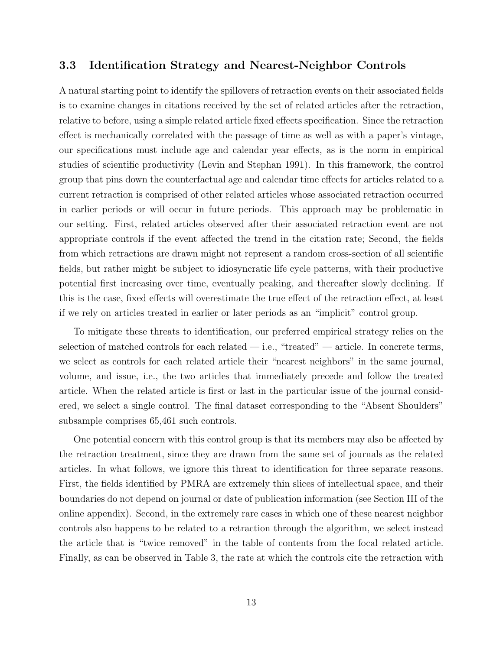## 3.3 Identification Strategy and Nearest-Neighbor Controls

A natural starting point to identify the spillovers of retraction events on their associated fields is to examine changes in citations received by the set of related articles after the retraction, relative to before, using a simple related article fixed effects specification. Since the retraction effect is mechanically correlated with the passage of time as well as with a paper's vintage, our specifications must include age and calendar year effects, as is the norm in empirical studies of scientific productivity (Levin and Stephan 1991). In this framework, the control group that pins down the counterfactual age and calendar time effects for articles related to a current retraction is comprised of other related articles whose associated retraction occurred in earlier periods or will occur in future periods. This approach may be problematic in our setting. First, related articles observed after their associated retraction event are not appropriate controls if the event affected the trend in the citation rate; Second, the fields from which retractions are drawn might not represent a random cross-section of all scientific fields, but rather might be subject to idiosyncratic life cycle patterns, with their productive potential first increasing over time, eventually peaking, and thereafter slowly declining. If this is the case, fixed effects will overestimate the true effect of the retraction effect, at least if we rely on articles treated in earlier or later periods as an "implicit" control group.

To mitigate these threats to identification, our preferred empirical strategy relies on the selection of matched controls for each related  $-$  i.e., "treated"  $-$  article. In concrete terms, we select as controls for each related article their "nearest neighbors" in the same journal, volume, and issue, i.e., the two articles that immediately precede and follow the treated article. When the related article is first or last in the particular issue of the journal considered, we select a single control. The final dataset corresponding to the "Absent Shoulders" subsample comprises 65,461 such controls.

One potential concern with this control group is that its members may also be affected by the retraction treatment, since they are drawn from the same set of journals as the related articles. In what follows, we ignore this threat to identification for three separate reasons. First, the fields identified by PMRA are extremely thin slices of intellectual space, and their boundaries do not depend on journal or date of publication information (see Section III of the online appendix). Second, in the extremely rare cases in which one of these nearest neighbor controls also happens to be related to a retraction through the algorithm, we select instead the article that is "twice removed" in the table of contents from the focal related article. Finally, as can be observed in Table 3, the rate at which the controls cite the retraction with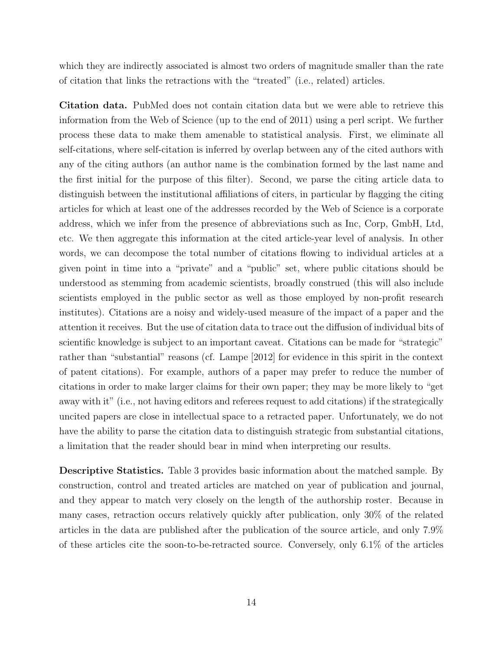which they are indirectly associated is almost two orders of magnitude smaller than the rate of citation that links the retractions with the "treated" (i.e., related) articles.

Citation data. PubMed does not contain citation data but we were able to retrieve this information from the Web of Science (up to the end of 2011) using a perl script. We further process these data to make them amenable to statistical analysis. First, we eliminate all self-citations, where self-citation is inferred by overlap between any of the cited authors with any of the citing authors (an author name is the combination formed by the last name and the first initial for the purpose of this filter). Second, we parse the citing article data to distinguish between the institutional affiliations of citers, in particular by flagging the citing articles for which at least one of the addresses recorded by the Web of Science is a corporate address, which we infer from the presence of abbreviations such as Inc, Corp, GmbH, Ltd, etc. We then aggregate this information at the cited article-year level of analysis. In other words, we can decompose the total number of citations flowing to individual articles at a given point in time into a "private" and a "public" set, where public citations should be understood as stemming from academic scientists, broadly construed (this will also include scientists employed in the public sector as well as those employed by non-profit research institutes). Citations are a noisy and widely-used measure of the impact of a paper and the attention it receives. But the use of citation data to trace out the diffusion of individual bits of scientific knowledge is subject to an important caveat. Citations can be made for "strategic" rather than "substantial" reasons (cf. Lampe [2012] for evidence in this spirit in the context of patent citations). For example, authors of a paper may prefer to reduce the number of citations in order to make larger claims for their own paper; they may be more likely to "get away with it" (i.e., not having editors and referees request to add citations) if the strategically uncited papers are close in intellectual space to a retracted paper. Unfortunately, we do not have the ability to parse the citation data to distinguish strategic from substantial citations, a limitation that the reader should bear in mind when interpreting our results.

Descriptive Statistics. Table 3 provides basic information about the matched sample. By construction, control and treated articles are matched on year of publication and journal, and they appear to match very closely on the length of the authorship roster. Because in many cases, retraction occurs relatively quickly after publication, only 30% of the related articles in the data are published after the publication of the source article, and only 7.9% of these articles cite the soon-to-be-retracted source. Conversely, only 6.1% of the articles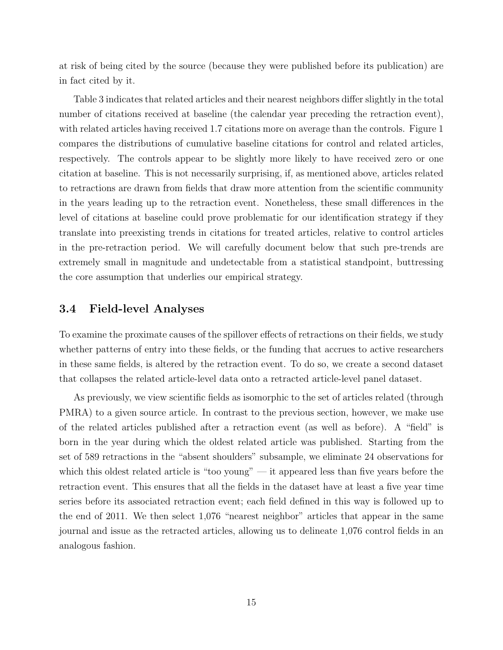at risk of being cited by the source (because they were published before its publication) are in fact cited by it.

Table 3 indicates that related articles and their nearest neighbors differ slightly in the total number of citations received at baseline (the calendar year preceding the retraction event), with related articles having received 1.7 citations more on average than the controls. Figure 1 compares the distributions of cumulative baseline citations for control and related articles, respectively. The controls appear to be slightly more likely to have received zero or one citation at baseline. This is not necessarily surprising, if, as mentioned above, articles related to retractions are drawn from fields that draw more attention from the scientific community in the years leading up to the retraction event. Nonetheless, these small differences in the level of citations at baseline could prove problematic for our identification strategy if they translate into preexisting trends in citations for treated articles, relative to control articles in the pre-retraction period. We will carefully document below that such pre-trends are extremely small in magnitude and undetectable from a statistical standpoint, buttressing the core assumption that underlies our empirical strategy.

## 3.4 Field-level Analyses

To examine the proximate causes of the spillover effects of retractions on their fields, we study whether patterns of entry into these fields, or the funding that accrues to active researchers in these same fields, is altered by the retraction event. To do so, we create a second dataset that collapses the related article-level data onto a retracted article-level panel dataset.

As previously, we view scientific fields as isomorphic to the set of articles related (through PMRA) to a given source article. In contrast to the previous section, however, we make use of the related articles published after a retraction event (as well as before). A "field" is born in the year during which the oldest related article was published. Starting from the set of 589 retractions in the "absent shoulders" subsample, we eliminate 24 observations for which this oldest related article is "too young" — it appeared less than five years before the retraction event. This ensures that all the fields in the dataset have at least a five year time series before its associated retraction event; each field defined in this way is followed up to the end of 2011. We then select 1,076 "nearest neighbor" articles that appear in the same journal and issue as the retracted articles, allowing us to delineate 1,076 control fields in an analogous fashion.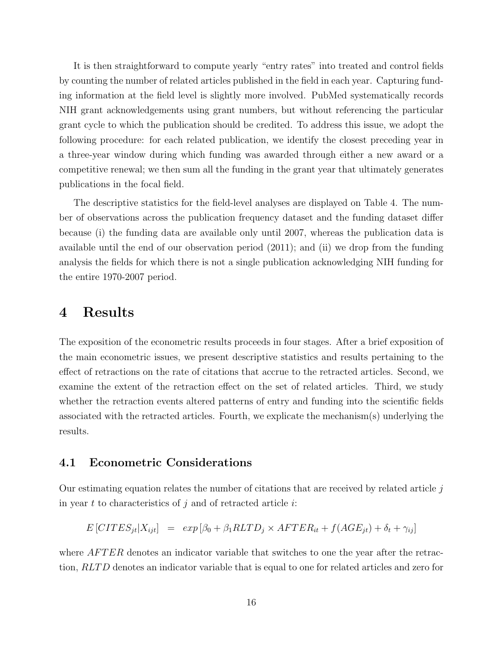It is then straightforward to compute yearly "entry rates" into treated and control fields by counting the number of related articles published in the field in each year. Capturing funding information at the field level is slightly more involved. PubMed systematically records NIH grant acknowledgements using grant numbers, but without referencing the particular grant cycle to which the publication should be credited. To address this issue, we adopt the following procedure: for each related publication, we identify the closest preceding year in a three-year window during which funding was awarded through either a new award or a competitive renewal; we then sum all the funding in the grant year that ultimately generates publications in the focal field.

The descriptive statistics for the field-level analyses are displayed on Table 4. The number of observations across the publication frequency dataset and the funding dataset differ because (i) the funding data are available only until 2007, whereas the publication data is available until the end of our observation period (2011); and (ii) we drop from the funding analysis the fields for which there is not a single publication acknowledging NIH funding for the entire 1970-2007 period.

# 4 Results

The exposition of the econometric results proceeds in four stages. After a brief exposition of the main econometric issues, we present descriptive statistics and results pertaining to the effect of retractions on the rate of citations that accrue to the retracted articles. Second, we examine the extent of the retraction effect on the set of related articles. Third, we study whether the retraction events altered patterns of entry and funding into the scientific fields associated with the retracted articles. Fourth, we explicate the mechanism(s) underlying the results.

### 4.1 Econometric Considerations

Our estimating equation relates the number of citations that are received by related article  $j$ in year  $t$  to characteristics of  $j$  and of retracted article  $i$ :

$$
E\left[CITES_{jt}|X_{ijt}\right] = exp\left[\beta_0 + \beta_1 RLTD_j \times AFTER_{it} + f(AGE_{jt}) + \delta_t + \gamma_{ij}\right]
$$

where  $AFTER$  denotes an indicator variable that switches to one the year after the retraction, RLT D denotes an indicator variable that is equal to one for related articles and zero for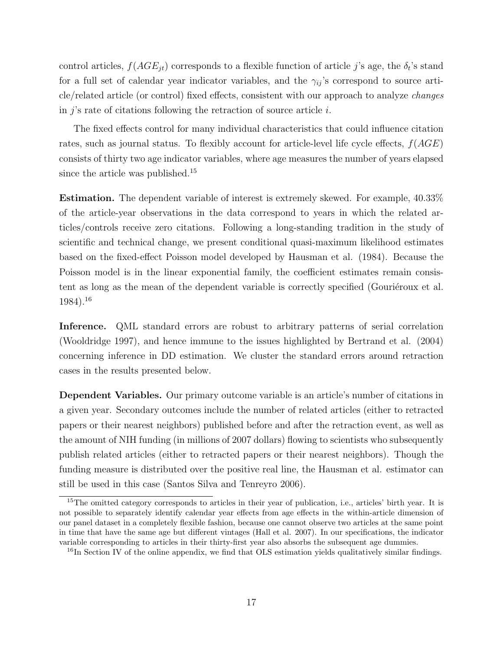control articles,  $f(AGE_{jt})$  corresponds to a flexible function of article j's age, the  $\delta_t$ 's stand for a full set of calendar year indicator variables, and the  $\gamma_{ij}$ 's correspond to source article/related article (or control) fixed effects, consistent with our approach to analyze changes in j's rate of citations following the retraction of source article  $i$ .

The fixed effects control for many individual characteristics that could influence citation rates, such as journal status. To flexibly account for article-level life cycle effects,  $f(AGE)$ consists of thirty two age indicator variables, where age measures the number of years elapsed since the article was published.<sup>15</sup>

Estimation. The dependent variable of interest is extremely skewed. For example, 40.33% of the article-year observations in the data correspond to years in which the related articles/controls receive zero citations. Following a long-standing tradition in the study of scientific and technical change, we present conditional quasi-maximum likelihood estimates based on the fixed-effect Poisson model developed by Hausman et al. (1984). Because the Poisson model is in the linear exponential family, the coefficient estimates remain consistent as long as the mean of the dependent variable is correctly specified (Gouriéroux et al.  $1984$ ).<sup>16</sup>

Inference. QML standard errors are robust to arbitrary patterns of serial correlation (Wooldridge 1997), and hence immune to the issues highlighted by Bertrand et al. (2004) concerning inference in DD estimation. We cluster the standard errors around retraction cases in the results presented below.

Dependent Variables. Our primary outcome variable is an article's number of citations in a given year. Secondary outcomes include the number of related articles (either to retracted papers or their nearest neighbors) published before and after the retraction event, as well as the amount of NIH funding (in millions of 2007 dollars) flowing to scientists who subsequently publish related articles (either to retracted papers or their nearest neighbors). Though the funding measure is distributed over the positive real line, the Hausman et al. estimator can still be used in this case (Santos Silva and Tenreyro 2006).

<sup>&</sup>lt;sup>15</sup>The omitted category corresponds to articles in their year of publication, i.e., articles' birth year. It is not possible to separately identify calendar year effects from age effects in the within-article dimension of our panel dataset in a completely flexible fashion, because one cannot observe two articles at the same point in time that have the same age but different vintages (Hall et al. 2007). In our specifications, the indicator variable corresponding to articles in their thirty-first year also absorbs the subsequent age dummies.

<sup>&</sup>lt;sup>16</sup>In Section IV of the online appendix, we find that OLS estimation yields qualitatively similar findings.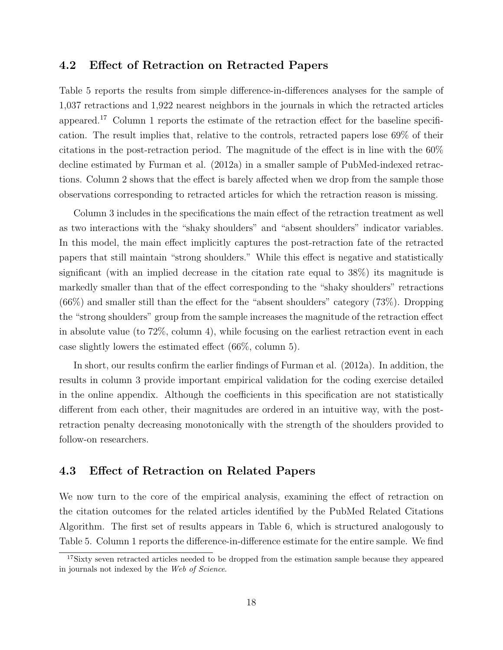## 4.2 Effect of Retraction on Retracted Papers

Table 5 reports the results from simple difference-in-differences analyses for the sample of 1,037 retractions and 1,922 nearest neighbors in the journals in which the retracted articles appeared.<sup>17</sup> Column 1 reports the estimate of the retraction effect for the baseline specification. The result implies that, relative to the controls, retracted papers lose 69% of their citations in the post-retraction period. The magnitude of the effect is in line with the 60% decline estimated by Furman et al. (2012a) in a smaller sample of PubMed-indexed retractions. Column 2 shows that the effect is barely affected when we drop from the sample those observations corresponding to retracted articles for which the retraction reason is missing.

Column 3 includes in the specifications the main effect of the retraction treatment as well as two interactions with the "shaky shoulders" and "absent shoulders" indicator variables. In this model, the main effect implicitly captures the post-retraction fate of the retracted papers that still maintain "strong shoulders." While this effect is negative and statistically significant (with an implied decrease in the citation rate equal to 38%) its magnitude is markedly smaller than that of the effect corresponding to the "shaky shoulders" retractions  $(66\%)$  and smaller still than the effect for the "absent shoulders" category  $(73\%)$ . Dropping the "strong shoulders" group from the sample increases the magnitude of the retraction effect in absolute value (to 72%, column 4), while focusing on the earliest retraction event in each case slightly lowers the estimated effect (66%, column 5).

In short, our results confirm the earlier findings of Furman et al. (2012a). In addition, the results in column 3 provide important empirical validation for the coding exercise detailed in the online appendix. Although the coefficients in this specification are not statistically different from each other, their magnitudes are ordered in an intuitive way, with the postretraction penalty decreasing monotonically with the strength of the shoulders provided to follow-on researchers.

## 4.3 Effect of Retraction on Related Papers

We now turn to the core of the empirical analysis, examining the effect of retraction on the citation outcomes for the related articles identified by the PubMed Related Citations Algorithm. The first set of results appears in Table 6, which is structured analogously to Table 5. Column 1 reports the difference-in-difference estimate for the entire sample. We find

<sup>&</sup>lt;sup>17</sup>Sixty seven retracted articles needed to be dropped from the estimation sample because they appeared in journals not indexed by the Web of Science.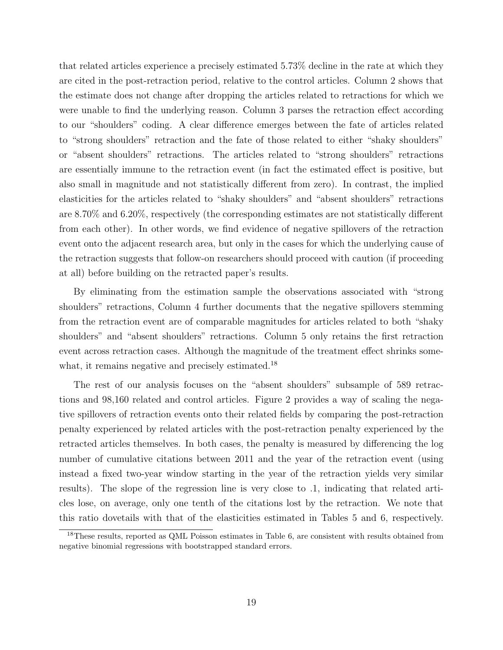that related articles experience a precisely estimated 5.73% decline in the rate at which they are cited in the post-retraction period, relative to the control articles. Column 2 shows that the estimate does not change after dropping the articles related to retractions for which we were unable to find the underlying reason. Column 3 parses the retraction effect according to our "shoulders" coding. A clear difference emerges between the fate of articles related to "strong shoulders" retraction and the fate of those related to either "shaky shoulders" or "absent shoulders" retractions. The articles related to "strong shoulders" retractions are essentially immune to the retraction event (in fact the estimated effect is positive, but also small in magnitude and not statistically different from zero). In contrast, the implied elasticities for the articles related to "shaky shoulders" and "absent shoulders" retractions are 8.70% and 6.20%, respectively (the corresponding estimates are not statistically different from each other). In other words, we find evidence of negative spillovers of the retraction event onto the adjacent research area, but only in the cases for which the underlying cause of the retraction suggests that follow-on researchers should proceed with caution (if proceeding at all) before building on the retracted paper's results.

By eliminating from the estimation sample the observations associated with "strong shoulders" retractions, Column 4 further documents that the negative spillovers stemming from the retraction event are of comparable magnitudes for articles related to both "shaky shoulders" and "absent shoulders" retractions. Column 5 only retains the first retraction event across retraction cases. Although the magnitude of the treatment effect shrinks somewhat, it remains negative and precisely estimated.<sup>18</sup>

The rest of our analysis focuses on the "absent shoulders" subsample of 589 retractions and 98,160 related and control articles. Figure 2 provides a way of scaling the negative spillovers of retraction events onto their related fields by comparing the post-retraction penalty experienced by related articles with the post-retraction penalty experienced by the retracted articles themselves. In both cases, the penalty is measured by differencing the log number of cumulative citations between 2011 and the year of the retraction event (using instead a fixed two-year window starting in the year of the retraction yields very similar results). The slope of the regression line is very close to .1, indicating that related articles lose, on average, only one tenth of the citations lost by the retraction. We note that this ratio dovetails with that of the elasticities estimated in Tables 5 and 6, respectively.

<sup>18</sup>These results, reported as QML Poisson estimates in Table 6, are consistent with results obtained from negative binomial regressions with bootstrapped standard errors.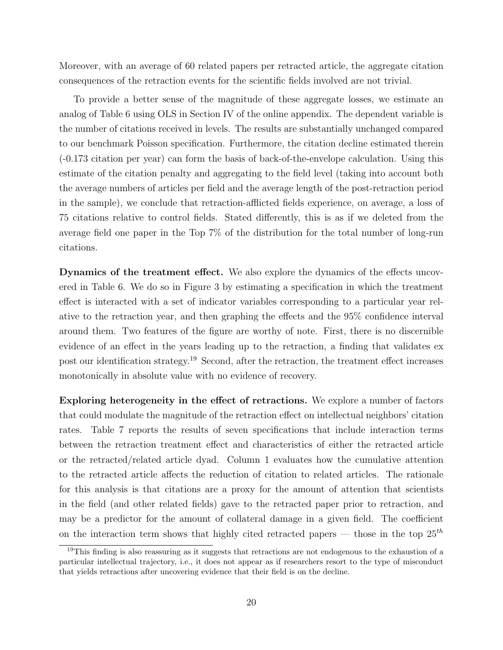Moreover, with an average of 60 related papers per retracted article, the aggregate citation consequences of the retraction events for the scientific fields involved are not trivial.

To provide a better sense of the magnitude of these aggregate losses, we estimate an analog of Table 6 using OLS in Section IV of the online appendix. The dependent variable is the number of citations received in levels. The results are substantially unchanged compared to our benchmark Poisson specification. Furthermore, the citation decline estimated therein (-0.173 citation per year) can form the basis of back-of-the-envelope calculation. Using this estimate of the citation penalty and aggregating to the field level (taking into account both the average numbers of articles per field and the average length of the post-retraction period in the sample), we conclude that retraction-afflicted fields experience, on average, a loss of 75 citations relative to control fields. Stated differently, this is as if we deleted from the average field one paper in the Top 7% of the distribution for the total number of long-run citations.

Dynamics of the treatment effect. We also explore the dynamics of the effects uncovered in Table 6. We do so in Figure 3 by estimating a specification in which the treatment effect is interacted with a set of indicator variables corresponding to a particular year relative to the retraction year, and then graphing the effects and the 95% confidence interval around them. Two features of the figure are worthy of note. First, there is no discernible evidence of an effect in the years leading up to the retraction, a finding that validates ex post our identification strategy.<sup>19</sup> Second, after the retraction, the treatment effect increases monotonically in absolute value with no evidence of recovery.

Exploring heterogeneity in the effect of retractions. We explore a number of factors that could modulate the magnitude of the retraction effect on intellectual neighbors' citation rates. Table 7 reports the results of seven specifications that include interaction terms between the retraction treatment effect and characteristics of either the retracted article or the retracted/related article dyad. Column 1 evaluates how the cumulative attention to the retracted article affects the reduction of citation to related articles. The rationale for this analysis is that citations are a proxy for the amount of attention that scientists in the field (and other related fields) gave to the retracted paper prior to retraction, and may be a predictor for the amount of collateral damage in a given field. The coefficient on the interaction term shows that highly cited retracted papers — those in the top  $25^{th}$ 

<sup>&</sup>lt;sup>19</sup>This finding is also reassuring as it suggests that retractions are not endogenous to the exhaustion of a particular intellectual trajectory, i.e., it does not appear as if researchers resort to the type of misconduct that yields retractions after uncovering evidence that their field is on the decline.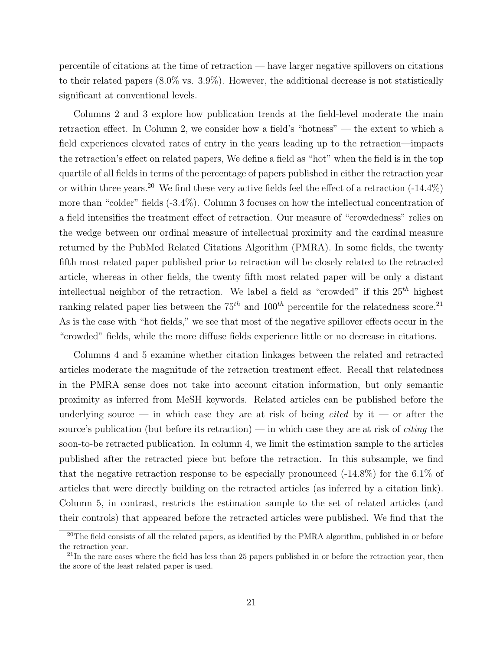percentile of citations at the time of retraction — have larger negative spillovers on citations to their related papers (8.0% vs. 3.9%). However, the additional decrease is not statistically significant at conventional levels.

Columns 2 and 3 explore how publication trends at the field-level moderate the main retraction effect. In Column 2, we consider how a field's "hotness" — the extent to which a field experiences elevated rates of entry in the years leading up to the retraction—impacts the retraction's effect on related papers, We define a field as "hot" when the field is in the top quartile of all fields in terms of the percentage of papers published in either the retraction year or within three years.<sup>20</sup> We find these very active fields feel the effect of a retraction  $(-14.4\%)$ more than "colder" fields (-3.4%). Column 3 focuses on how the intellectual concentration of a field intensifies the treatment effect of retraction. Our measure of "crowdedness" relies on the wedge between our ordinal measure of intellectual proximity and the cardinal measure returned by the PubMed Related Citations Algorithm (PMRA). In some fields, the twenty fifth most related paper published prior to retraction will be closely related to the retracted article, whereas in other fields, the twenty fifth most related paper will be only a distant intellectual neighbor of the retraction. We label a field as "crowded" if this  $25<sup>th</sup>$  highest ranking related paper lies between the  $75<sup>th</sup>$  and  $100<sup>th</sup>$  percentile for the relatedness score.<sup>21</sup> As is the case with "hot fields," we see that most of the negative spillover effects occur in the "crowded" fields, while the more diffuse fields experience little or no decrease in citations.

Columns 4 and 5 examine whether citation linkages between the related and retracted articles moderate the magnitude of the retraction treatment effect. Recall that relatedness in the PMRA sense does not take into account citation information, but only semantic proximity as inferred from MeSH keywords. Related articles can be published before the underlying source — in which case they are at risk of being *cited* by it — or after the source's publication (but before its retraction) — in which case they are at risk of *citing* the soon-to-be retracted publication. In column 4, we limit the estimation sample to the articles published after the retracted piece but before the retraction. In this subsample, we find that the negative retraction response to be especially pronounced (-14.8%) for the 6.1% of articles that were directly building on the retracted articles (as inferred by a citation link). Column 5, in contrast, restricts the estimation sample to the set of related articles (and their controls) that appeared before the retracted articles were published. We find that the

 $20$ The field consists of all the related papers, as identified by the PMRA algorithm, published in or before the retraction year.

 $^{21}$ In the rare cases where the field has less than 25 papers published in or before the retraction year, then the score of the least related paper is used.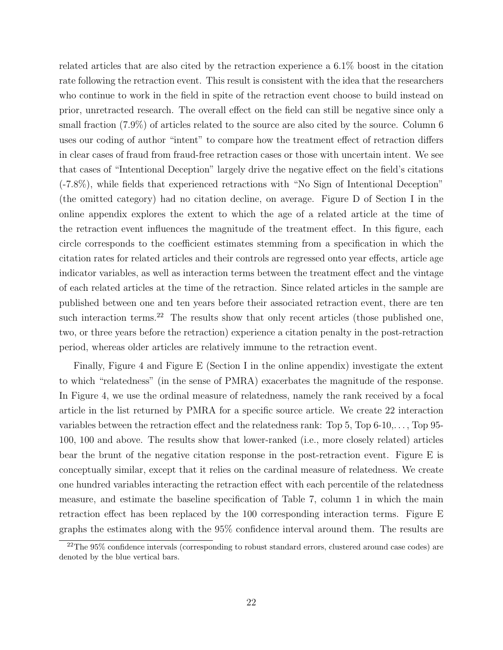related articles that are also cited by the retraction experience a 6.1% boost in the citation rate following the retraction event. This result is consistent with the idea that the researchers who continue to work in the field in spite of the retraction event choose to build instead on prior, unretracted research. The overall effect on the field can still be negative since only a small fraction (7.9%) of articles related to the source are also cited by the source. Column 6 uses our coding of author "intent" to compare how the treatment effect of retraction differs in clear cases of fraud from fraud-free retraction cases or those with uncertain intent. We see that cases of "Intentional Deception" largely drive the negative effect on the field's citations (-7.8%), while fields that experienced retractions with "No Sign of Intentional Deception" (the omitted category) had no citation decline, on average. Figure D of Section I in the online appendix explores the extent to which the age of a related article at the time of the retraction event influences the magnitude of the treatment effect. In this figure, each circle corresponds to the coefficient estimates stemming from a specification in which the citation rates for related articles and their controls are regressed onto year effects, article age indicator variables, as well as interaction terms between the treatment effect and the vintage of each related articles at the time of the retraction. Since related articles in the sample are published between one and ten years before their associated retraction event, there are ten such interaction terms.<sup>22</sup> The results show that only recent articles (those published one, two, or three years before the retraction) experience a citation penalty in the post-retraction period, whereas older articles are relatively immune to the retraction event.

Finally, Figure 4 and Figure E (Section I in the online appendix) investigate the extent to which "relatedness" (in the sense of PMRA) exacerbates the magnitude of the response. In Figure 4, we use the ordinal measure of relatedness, namely the rank received by a focal article in the list returned by PMRA for a specific source article. We create 22 interaction variables between the retraction effect and the relatedness rank: Top 5, Top 6-10,. . . , Top 95- 100, 100 and above. The results show that lower-ranked (i.e., more closely related) articles bear the brunt of the negative citation response in the post-retraction event. Figure E is conceptually similar, except that it relies on the cardinal measure of relatedness. We create one hundred variables interacting the retraction effect with each percentile of the relatedness measure, and estimate the baseline specification of Table 7, column 1 in which the main retraction effect has been replaced by the 100 corresponding interaction terms. Figure E graphs the estimates along with the 95% confidence interval around them. The results are

 $22$ The 95% confidence intervals (corresponding to robust standard errors, clustered around case codes) are denoted by the blue vertical bars.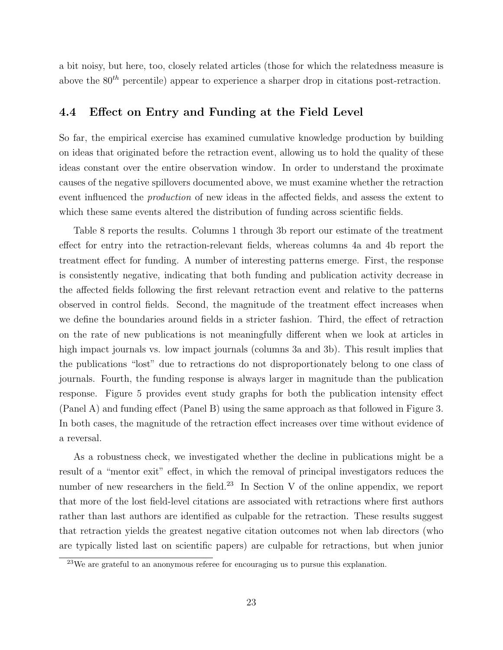a bit noisy, but here, too, closely related articles (those for which the relatedness measure is above the  $80^{th}$  percentile) appear to experience a sharper drop in citations post-retraction.

## 4.4 Effect on Entry and Funding at the Field Level

So far, the empirical exercise has examined cumulative knowledge production by building on ideas that originated before the retraction event, allowing us to hold the quality of these ideas constant over the entire observation window. In order to understand the proximate causes of the negative spillovers documented above, we must examine whether the retraction event influenced the *production* of new ideas in the affected fields, and assess the extent to which these same events altered the distribution of funding across scientific fields.

Table 8 reports the results. Columns 1 through 3b report our estimate of the treatment effect for entry into the retraction-relevant fields, whereas columns 4a and 4b report the treatment effect for funding. A number of interesting patterns emerge. First, the response is consistently negative, indicating that both funding and publication activity decrease in the affected fields following the first relevant retraction event and relative to the patterns observed in control fields. Second, the magnitude of the treatment effect increases when we define the boundaries around fields in a stricter fashion. Third, the effect of retraction on the rate of new publications is not meaningfully different when we look at articles in high impact journals vs. low impact journals (columns 3a and 3b). This result implies that the publications "lost" due to retractions do not disproportionately belong to one class of journals. Fourth, the funding response is always larger in magnitude than the publication response. Figure 5 provides event study graphs for both the publication intensity effect (Panel A) and funding effect (Panel B) using the same approach as that followed in Figure 3. In both cases, the magnitude of the retraction effect increases over time without evidence of a reversal.

As a robustness check, we investigated whether the decline in publications might be a result of a "mentor exit" effect, in which the removal of principal investigators reduces the number of new researchers in the field.<sup>23</sup> In Section V of the online appendix, we report that more of the lost field-level citations are associated with retractions where first authors rather than last authors are identified as culpable for the retraction. These results suggest that retraction yields the greatest negative citation outcomes not when lab directors (who are typically listed last on scientific papers) are culpable for retractions, but when junior

 $\frac{23}{28}$  We are grateful to an anonymous referee for encouraging us to pursue this explanation.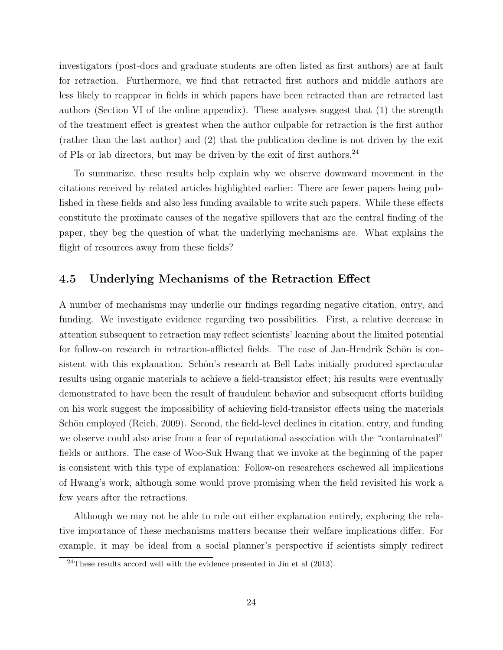investigators (post-docs and graduate students are often listed as first authors) are at fault for retraction. Furthermore, we find that retracted first authors and middle authors are less likely to reappear in fields in which papers have been retracted than are retracted last authors (Section VI of the online appendix). These analyses suggest that (1) the strength of the treatment effect is greatest when the author culpable for retraction is the first author (rather than the last author) and (2) that the publication decline is not driven by the exit of PIs or lab directors, but may be driven by the exit of first authors.<sup>24</sup>

To summarize, these results help explain why we observe downward movement in the citations received by related articles highlighted earlier: There are fewer papers being published in these fields and also less funding available to write such papers. While these effects constitute the proximate causes of the negative spillovers that are the central finding of the paper, they beg the question of what the underlying mechanisms are. What explains the flight of resources away from these fields?

## 4.5 Underlying Mechanisms of the Retraction Effect

A number of mechanisms may underlie our findings regarding negative citation, entry, and funding. We investigate evidence regarding two possibilities. First, a relative decrease in attention subsequent to retraction may reflect scientists' learning about the limited potential for follow-on research in retraction-afflicted fields. The case of Jan-Hendrik Schön is consistent with this explanation. Schön's research at Bell Labs initially produced spectacular results using organic materials to achieve a field-transistor effect; his results were eventually demonstrated to have been the result of fraudulent behavior and subsequent efforts building on his work suggest the impossibility of achieving field-transistor effects using the materials Schön employed (Reich, 2009). Second, the field-level declines in citation, entry, and funding we observe could also arise from a fear of reputational association with the "contaminated" fields or authors. The case of Woo-Suk Hwang that we invoke at the beginning of the paper is consistent with this type of explanation: Follow-on researchers eschewed all implications of Hwang's work, although some would prove promising when the field revisited his work a few years after the retractions.

Although we may not be able to rule out either explanation entirely, exploring the relative importance of these mechanisms matters because their welfare implications differ. For example, it may be ideal from a social planner's perspective if scientists simply redirect

 $24$ These results accord well with the evidence presented in Jin et al  $(2013)$ .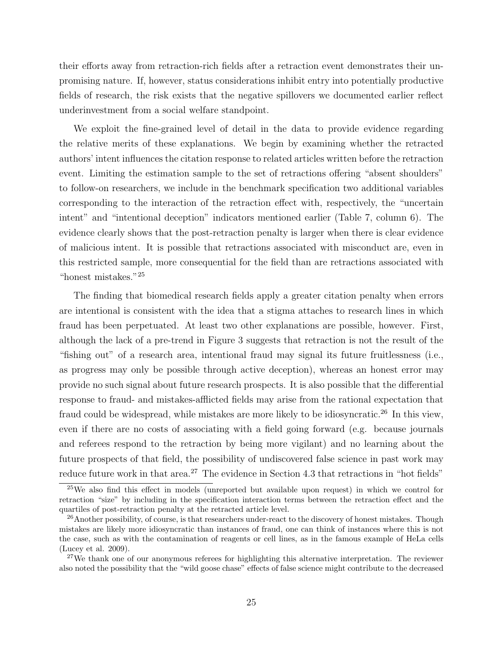their efforts away from retraction-rich fields after a retraction event demonstrates their unpromising nature. If, however, status considerations inhibit entry into potentially productive fields of research, the risk exists that the negative spillovers we documented earlier reflect underinvestment from a social welfare standpoint.

We exploit the fine-grained level of detail in the data to provide evidence regarding the relative merits of these explanations. We begin by examining whether the retracted authors' intent influences the citation response to related articles written before the retraction event. Limiting the estimation sample to the set of retractions offering "absent shoulders" to follow-on researchers, we include in the benchmark specification two additional variables corresponding to the interaction of the retraction effect with, respectively, the "uncertain intent" and "intentional deception" indicators mentioned earlier (Table 7, column 6). The evidence clearly shows that the post-retraction penalty is larger when there is clear evidence of malicious intent. It is possible that retractions associated with misconduct are, even in this restricted sample, more consequential for the field than are retractions associated with "honest mistakes."<sup>25</sup>

The finding that biomedical research fields apply a greater citation penalty when errors are intentional is consistent with the idea that a stigma attaches to research lines in which fraud has been perpetuated. At least two other explanations are possible, however. First, although the lack of a pre-trend in Figure 3 suggests that retraction is not the result of the "fishing out" of a research area, intentional fraud may signal its future fruitlessness (i.e., as progress may only be possible through active deception), whereas an honest error may provide no such signal about future research prospects. It is also possible that the differential response to fraud- and mistakes-afflicted fields may arise from the rational expectation that fraud could be widespread, while mistakes are more likely to be idiosyncratic.<sup>26</sup> In this view, even if there are no costs of associating with a field going forward (e.g. because journals and referees respond to the retraction by being more vigilant) and no learning about the future prospects of that field, the possibility of undiscovered false science in past work may reduce future work in that area.<sup>27</sup> The evidence in Section 4.3 that retractions in "hot fields"

 $25$ We also find this effect in models (unreported but available upon request) in which we control for retraction "size" by including in the specification interaction terms between the retraction effect and the quartiles of post-retraction penalty at the retracted article level.

<sup>&</sup>lt;sup>26</sup>Another possibility, of course, is that researchers under-react to the discovery of honest mistakes. Though mistakes are likely more idiosyncratic than instances of fraud, one can think of instances where this is not the case, such as with the contamination of reagents or cell lines, as in the famous example of HeLa cells (Lucey et al. 2009).

<sup>&</sup>lt;sup>27</sup>We thank one of our anonymous referees for highlighting this alternative interpretation. The reviewer also noted the possibility that the "wild goose chase" effects of false science might contribute to the decreased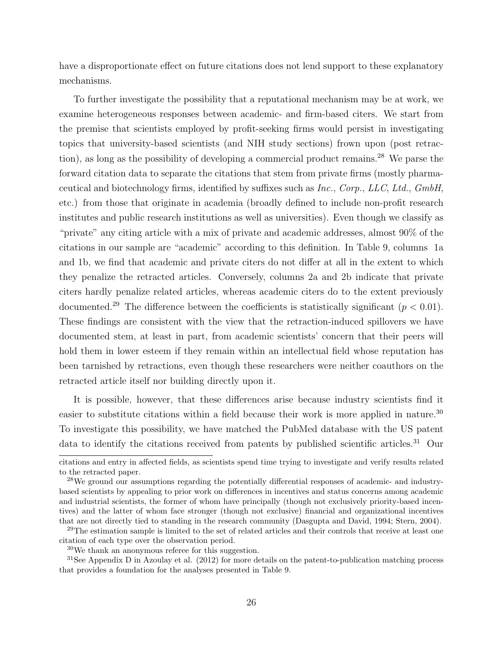have a disproportionate effect on future citations does not lend support to these explanatory mechanisms.

To further investigate the possibility that a reputational mechanism may be at work, we examine heterogeneous responses between academic- and firm-based citers. We start from the premise that scientists employed by profit-seeking firms would persist in investigating topics that university-based scientists (and NIH study sections) frown upon (post retraction), as long as the possibility of developing a commercial product remains.<sup>28</sup> We parse the forward citation data to separate the citations that stem from private firms (mostly pharmaceutical and biotechnology firms, identified by suffixes such as  $Inc, Corp, LLC, Ltd., GmbH,$ etc.) from those that originate in academia (broadly defined to include non-profit research institutes and public research institutions as well as universities). Even though we classify as "private" any citing article with a mix of private and academic addresses, almost 90% of the citations in our sample are "academic" according to this definition. In Table 9, columns 1a and 1b, we find that academic and private citers do not differ at all in the extent to which they penalize the retracted articles. Conversely, columns 2a and 2b indicate that private citers hardly penalize related articles, whereas academic citers do to the extent previously documented.<sup>29</sup> The difference between the coefficients is statistically significant ( $p < 0.01$ ). These findings are consistent with the view that the retraction-induced spillovers we have documented stem, at least in part, from academic scientists' concern that their peers will hold them in lower esteem if they remain within an intellectual field whose reputation has been tarnished by retractions, even though these researchers were neither coauthors on the retracted article itself nor building directly upon it.

It is possible, however, that these differences arise because industry scientists find it easier to substitute citations within a field because their work is more applied in nature.<sup>30</sup> To investigate this possibility, we have matched the PubMed database with the US patent data to identify the citations received from patents by published scientific articles.<sup>31</sup> Our

citations and entry in affected fields, as scientists spend time trying to investigate and verify results related to the retracted paper.

<sup>&</sup>lt;sup>28</sup>We ground our assumptions regarding the potentially differential responses of academic- and industrybased scientists by appealing to prior work on differences in incentives and status concerns among academic and industrial scientists, the former of whom have principally (though not exclusively priority-based incentives) and the latter of whom face stronger (though not exclusive) financial and organizational incentives that are not directly tied to standing in the research community (Dasgupta and David, 1994; Stern, 2004).

<sup>&</sup>lt;sup>29</sup>The estimation sample is limited to the set of related articles and their controls that receive at least one citation of each type over the observation period.

<sup>30</sup>We thank an anonymous referee for this suggestion.

 $31$ See Appendix D in Azoulay et al. (2012) for more details on the patent-to-publication matching process that provides a foundation for the analyses presented in Table 9.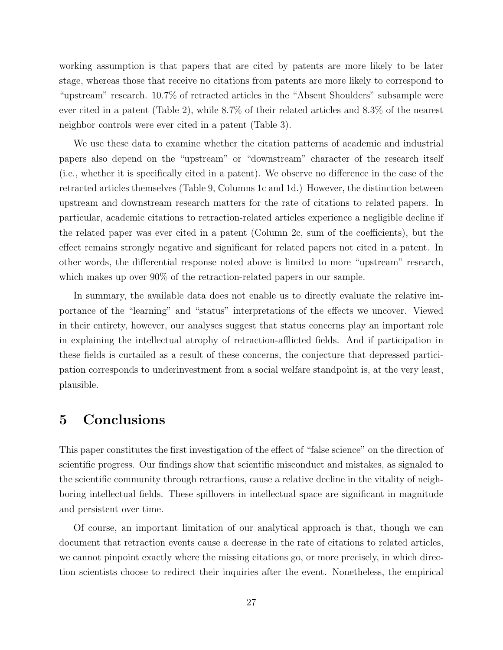working assumption is that papers that are cited by patents are more likely to be later stage, whereas those that receive no citations from patents are more likely to correspond to "upstream" research. 10.7% of retracted articles in the "Absent Shoulders" subsample were ever cited in a patent (Table 2), while 8.7% of their related articles and 8.3% of the nearest neighbor controls were ever cited in a patent (Table 3).

We use these data to examine whether the citation patterns of academic and industrial papers also depend on the "upstream" or "downstream" character of the research itself (i.e., whether it is specifically cited in a patent). We observe no difference in the case of the retracted articles themselves (Table 9, Columns 1c and 1d.) However, the distinction between upstream and downstream research matters for the rate of citations to related papers. In particular, academic citations to retraction-related articles experience a negligible decline if the related paper was ever cited in a patent (Column 2c, sum of the coefficients), but the effect remains strongly negative and significant for related papers not cited in a patent. In other words, the differential response noted above is limited to more "upstream" research, which makes up over 90% of the retraction-related papers in our sample.

In summary, the available data does not enable us to directly evaluate the relative importance of the "learning" and "status" interpretations of the effects we uncover. Viewed in their entirety, however, our analyses suggest that status concerns play an important role in explaining the intellectual atrophy of retraction-afflicted fields. And if participation in these fields is curtailed as a result of these concerns, the conjecture that depressed participation corresponds to underinvestment from a social welfare standpoint is, at the very least, plausible.

# 5 Conclusions

This paper constitutes the first investigation of the effect of "false science" on the direction of scientific progress. Our findings show that scientific misconduct and mistakes, as signaled to the scientific community through retractions, cause a relative decline in the vitality of neighboring intellectual fields. These spillovers in intellectual space are significant in magnitude and persistent over time.

Of course, an important limitation of our analytical approach is that, though we can document that retraction events cause a decrease in the rate of citations to related articles, we cannot pinpoint exactly where the missing citations go, or more precisely, in which direction scientists choose to redirect their inquiries after the event. Nonetheless, the empirical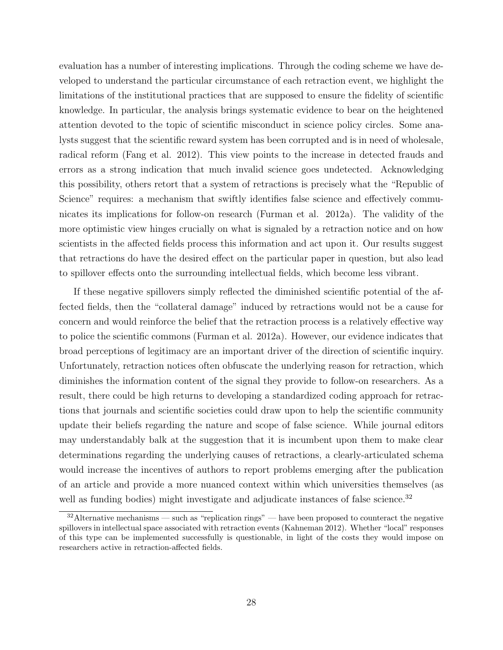evaluation has a number of interesting implications. Through the coding scheme we have developed to understand the particular circumstance of each retraction event, we highlight the limitations of the institutional practices that are supposed to ensure the fidelity of scientific knowledge. In particular, the analysis brings systematic evidence to bear on the heightened attention devoted to the topic of scientific misconduct in science policy circles. Some analysts suggest that the scientific reward system has been corrupted and is in need of wholesale, radical reform (Fang et al. 2012). This view points to the increase in detected frauds and errors as a strong indication that much invalid science goes undetected. Acknowledging this possibility, others retort that a system of retractions is precisely what the "Republic of Science" requires: a mechanism that swiftly identifies false science and effectively communicates its implications for follow-on research (Furman et al. 2012a). The validity of the more optimistic view hinges crucially on what is signaled by a retraction notice and on how scientists in the affected fields process this information and act upon it. Our results suggest that retractions do have the desired effect on the particular paper in question, but also lead to spillover effects onto the surrounding intellectual fields, which become less vibrant.

If these negative spillovers simply reflected the diminished scientific potential of the affected fields, then the "collateral damage" induced by retractions would not be a cause for concern and would reinforce the belief that the retraction process is a relatively effective way to police the scientific commons (Furman et al. 2012a). However, our evidence indicates that broad perceptions of legitimacy are an important driver of the direction of scientific inquiry. Unfortunately, retraction notices often obfuscate the underlying reason for retraction, which diminishes the information content of the signal they provide to follow-on researchers. As a result, there could be high returns to developing a standardized coding approach for retractions that journals and scientific societies could draw upon to help the scientific community update their beliefs regarding the nature and scope of false science. While journal editors may understandably balk at the suggestion that it is incumbent upon them to make clear determinations regarding the underlying causes of retractions, a clearly-articulated schema would increase the incentives of authors to report problems emerging after the publication of an article and provide a more nuanced context within which universities themselves (as well as funding bodies) might investigate and adjudicate instances of false science.<sup>32</sup>

 $32$ Alternative mechanisms — such as "replication rings" — have been proposed to counteract the negative spillovers in intellectual space associated with retraction events (Kahneman 2012). Whether "local" responses of this type can be implemented successfully is questionable, in light of the costs they would impose on researchers active in retraction-affected fields.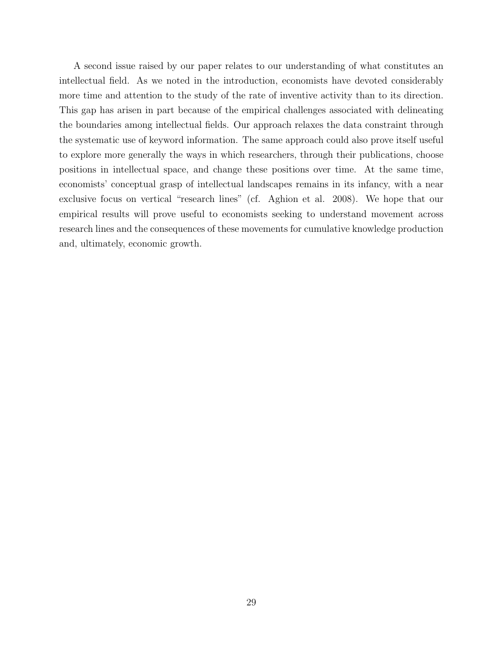A second issue raised by our paper relates to our understanding of what constitutes an intellectual field. As we noted in the introduction, economists have devoted considerably more time and attention to the study of the rate of inventive activity than to its direction. This gap has arisen in part because of the empirical challenges associated with delineating the boundaries among intellectual fields. Our approach relaxes the data constraint through the systematic use of keyword information. The same approach could also prove itself useful to explore more generally the ways in which researchers, through their publications, choose positions in intellectual space, and change these positions over time. At the same time, economists' conceptual grasp of intellectual landscapes remains in its infancy, with a near exclusive focus on vertical "research lines" (cf. Aghion et al. 2008). We hope that our empirical results will prove useful to economists seeking to understand movement across research lines and the consequences of these movements for cumulative knowledge production and, ultimately, economic growth.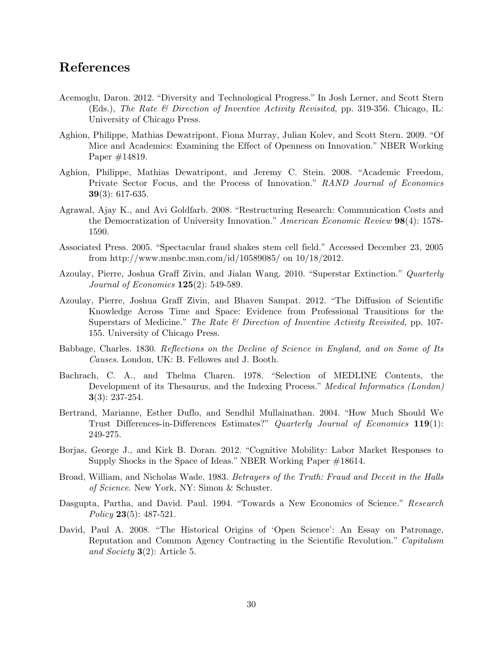## **References**

- Acemoglu, Daron. 2012. "Diversity and Technological Progress." In Josh Lerner, and Scott Stern (Eds.), *The Rate & Direction of Inventive Activity Revisited*, pp. 319-356. Chicago, IL: University of Chicago Press.
- Aghion, Philippe, Mathias Dewatripont, Fiona Murray, Julian Kolev, and Scott Stern. 2009. "Of Mice and Academics: Examining the Effect of Openness on Innovation." NBER Working Paper #14819.
- Aghion, Philippe, Mathias Dewatripont, and Jeremy C. Stein. 2008. "Academic Freedom, Private Sector Focus, and the Process of Innovation." *RAND Journal of Economics* **39**(3): 617-635.
- Agrawal, Ajay K., and Avi Goldfarb. 2008. "Restructuring Research: Communication Costs and the Democratization of University Innovation." *American Economic Review* **98**(4): 1578- 1590.
- Associated Press. 2005. "Spectacular fraud shakes stem cell field." Accessed December 23, 2005 from http://www.msnbc.msn.com/id/10589085/ on 10/18/2012.
- Azoulay, Pierre, Joshua Graff Zivin, and Jialan Wang. 2010. "Superstar Extinction." *Quarterly Journal of Economics* **125**(2): 549-589.
- Azoulay, Pierre, Joshua Graff Zivin, and Bhaven Sampat. 2012. "The Diffusion of Scientific Knowledge Across Time and Space: Evidence from Professional Transitions for the Superstars of Medicine." *The Rate & Direction of Inventive Activity Revisited*, pp. 107- 155. University of Chicago Press.
- Babbage, Charles. 1830. *Reflections on the Decline of Science in England, and on Some of Its Causes*. London, UK: B. Fellowes and J. Booth.
- Bachrach, C. A., and Thelma Charen. 1978. "Selection of MEDLINE Contents, the Development of its Thesaurus, and the Indexing Process." *Medical Informatics (London)* **3**(3): 237-254.
- Bertrand, Marianne, Esther Duflo, and Sendhil Mullainathan. 2004. "How Much Should We Trust Differences-in-Differences Estimates?" *Quarterly Journal of Economics* **119**(1): 249-275.
- Borjas, George J., and Kirk B. Doran. 2012. "Cognitive Mobility: Labor Market Responses to Supply Shocks in the Space of Ideas." NBER Working Paper #18614.
- Broad, William, and Nicholas Wade. 1983. *Betrayers of the Truth: Fraud and Deceit in the Halls of Science*. New York, NY: Simon & Schuster.
- Dasgupta, Partha, and David. Paul. 1994. "Towards a New Economics of Science." *Research Policy* **23**(5): 487-521.
- David, Paul A. 2008. "The Historical Origins of 'Open Science': An Essay on Patronage, Reputation and Common Agency Contracting in the Scientific Revolution." *Capitalism and Society* **3**(2): Article 5.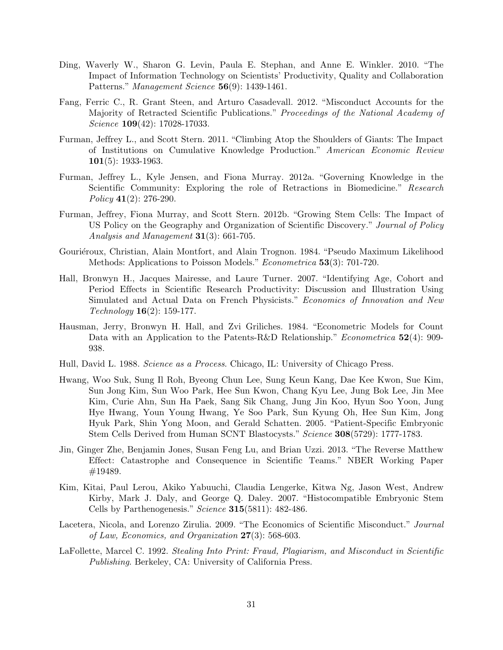- Ding, Waverly W., Sharon G. Levin, Paula E. Stephan, and Anne E. Winkler. 2010. "The Impact of Information Technology on Scientists' Productivity, Quality and Collaboration Patterns." *Management Science* **56**(9): 1439-1461.
- Fang, Ferric C., R. Grant Steen, and Arturo Casadevall. 2012. "Misconduct Accounts for the Majority of Retracted Scientific Publications." *Proceedings of the National Academy of Science* **109**(42): 17028-17033.
- Furman, Jeffrey L., and Scott Stern. 2011. "Climbing Atop the Shoulders of Giants: The Impact of Institutions on Cumulative Knowledge Production." *American Economic Review* **101**(5): 1933-1963.
- Furman, Jeffrey L., Kyle Jensen, and Fiona Murray. 2012a. "Governing Knowledge in the Scientific Community: Exploring the role of Retractions in Biomedicine." *Research Policy* **41**(2): 276-290.
- Furman, Jeffrey, Fiona Murray, and Scott Stern. 2012b. "Growing Stem Cells: The Impact of US Policy on the Geography and Organization of Scientific Discovery." *Journal of Policy Analysis and Management* **31**(3): 661-705.
- Gouriéroux, Christian, Alain Montfort, and Alain Trognon. 1984. "Pseudo Maximum Likelihood Methods: Applications to Poisson Models." *Econometrica* **53**(3): 701-720.
- Hall, Bronwyn H., Jacques Mairesse, and Laure Turner. 2007. "Identifying Age, Cohort and Period Effects in Scientific Research Productivity: Discussion and Illustration Using Simulated and Actual Data on French Physicists." *Economics of Innovation and New Technology* **16**(2): 159-177.
- Hausman, Jerry, Bronwyn H. Hall, and Zvi Griliches. 1984. "Econometric Models for Count Data with an Application to the Patents-R&D Relationship." *Econometrica* **52**(4): 909- 938.
- Hull, David L. 1988. *Science as a Process*. Chicago, IL: University of Chicago Press.
- Hwang, Woo Suk, Sung Il Roh, Byeong Chun Lee, Sung Keun Kang, Dae Kee Kwon, Sue Kim, Sun Jong Kim, Sun Woo Park, Hee Sun Kwon, Chang Kyu Lee, Jung Bok Lee, Jin Mee Kim, Curie Ahn, Sun Ha Paek, Sang Sik Chang, Jung Jin Koo, Hyun Soo Yoon, Jung Hye Hwang, Youn Young Hwang, Ye Soo Park, Sun Kyung Oh, Hee Sun Kim, Jong Hyuk Park, Shin Yong Moon, and Gerald Schatten. 2005. "Patient-Specific Embryonic Stem Cells Derived from Human SCNT Blastocysts." *Science* **308**(5729): 1777-1783.
- Jin, Ginger Zhe, Benjamin Jones, Susan Feng Lu, and Brian Uzzi. 2013. "The Reverse Matthew Effect: Catastrophe and Consequence in Scientific Teams." NBER Working Paper #19489.
- Kim, Kitai, Paul Lerou, Akiko Yabuuchi, Claudia Lengerke, Kitwa Ng, Jason West, Andrew Kirby, Mark J. Daly, and George Q. Daley. 2007. "Histocompatible Embryonic Stem Cells by Parthenogenesis." *Science* **315**(5811): 482-486.
- Lacetera, Nicola, and Lorenzo Zirulia. 2009. "The Economics of Scientific Misconduct." *Journal of Law, Economics, and Organization* **27**(3): 568-603.
- LaFollette, Marcel C. 1992. *Stealing Into Print: Fraud, Plagiarism, and Misconduct in Scientific Publishing*. Berkeley, CA: University of California Press.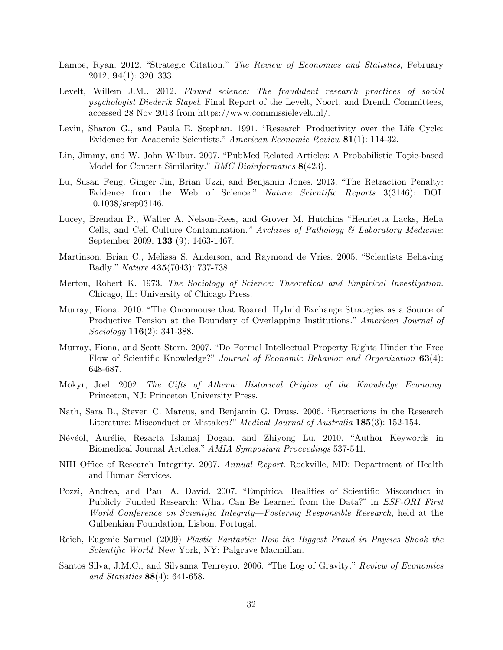- Lampe, Ryan. 2012. "Strategic Citation." *The Review of Economics and Statistics*, February 2012, **94**(1): 320–333.
- Levelt, Willem J.M.. 2012. *Flawed science: The fraudulent research practices of social psychologist Diederik Stapel*. Final Report of the Levelt, Noort, and Drenth Committees, accessed 28 Nov 2013 from https://www.commissielevelt.nl/.
- Levin, Sharon G., and Paula E. Stephan. 1991. "Research Productivity over the Life Cycle: Evidence for Academic Scientists." *American Economic Review* **81**(1): 114-32.
- Lin, Jimmy, and W. John Wilbur. 2007. "PubMed Related Articles: A Probabilistic Topic-based Model for Content Similarity." *BMC Bioinformatics* **8**(423).
- Lu, Susan Feng, Ginger Jin, Brian Uzzi, and Benjamin Jones. 2013. "The Retraction Penalty: Evidence from the Web of Science." *Nature Scientific Reports* 3(3146): DOI: 10.1038/srep03146.
- Lucey, Brendan P., Walter A. Nelson-Rees, and Grover M. Hutchins "Henrietta Lacks, HeLa Cells, and Cell Culture Contamination*." Archives of Pathology & Laboratory Medicine*: September 2009, **133** (9): 1463-1467.
- Martinson, Brian C., Melissa S. Anderson, and Raymond de Vries. 2005. "Scientists Behaving Badly." *Nature* **435**(7043): 737-738.
- Merton, Robert K. 1973. *The Sociology of Science: Theoretical and Empirical Investigation*. Chicago, IL: University of Chicago Press.
- Murray, Fiona. 2010. "The Oncomouse that Roared: Hybrid Exchange Strategies as a Source of Productive Tension at the Boundary of Overlapping Institutions." *American Journal of Sociology* **116**(2): 341-388.
- Murray, Fiona, and Scott Stern. 2007. "Do Formal Intellectual Property Rights Hinder the Free Flow of Scientific Knowledge?" *Journal of Economic Behavior and Organization* **63**(4): 648-687.
- Mokyr, Joel. 2002. *The Gifts of Athena: Historical Origins of the Knowledge Economy*. Princeton, NJ: Princeton University Press.
- Nath, Sara B., Steven C. Marcus, and Benjamin G. Druss. 2006. "Retractions in the Research Literature: Misconduct or Mistakes?" *Medical Journal of Australia* **185**(3): 152-154.
- Névéol, Aurélie, Rezarta Islamaj Dogan, and Zhiyong Lu. 2010. "Author Keywords in Biomedical Journal Articles." *AMIA Symposium Proceedings* 537-541.
- NIH Office of Research Integrity. 2007. *Annual Report*. Rockville, MD: Department of Health and Human Services.
- Pozzi, Andrea, and Paul A. David. 2007. "Empirical Realities of Scientific Misconduct in Publicly Funded Research: What Can Be Learned from the Data?" in *ESF-ORI First World Conference on Scientific Integrity—Fostering Responsible Research*, held at the Gulbenkian Foundation, Lisbon, Portugal.
- Reich, Eugenie Samuel (2009) *Plastic Fantastic: How the Biggest Fraud in Physics Shook the Scientific World*. New York, NY: Palgrave Macmillan.
- Santos Silva, J.M.C., and Silvanna Tenreyro. 2006. "The Log of Gravity." *Review of Economics and Statistics* **88**(4): 641-658.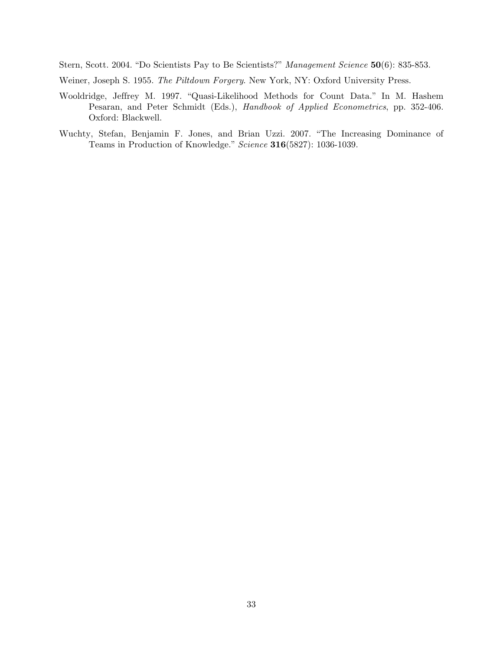Stern, Scott. 2004. "Do Scientists Pay to Be Scientists?" *Management Science* **50**(6): 835-853.

- Weiner, Joseph S. 1955. *The Piltdown Forgery*. New York, NY: Oxford University Press.
- Wooldridge, Jeffrey M. 1997. "Quasi-Likelihood Methods for Count Data." In M. Hashem Pesaran, and Peter Schmidt (Eds.), *Handbook of Applied Econometrics*, pp. 352-406. Oxford: Blackwell.
- Wuchty, Stefan, Benjamin F. Jones, and Brian Uzzi. 2007. "The Increasing Dominance of Teams in Production of Knowledge." *Science* **316**(5827): 1036-1039.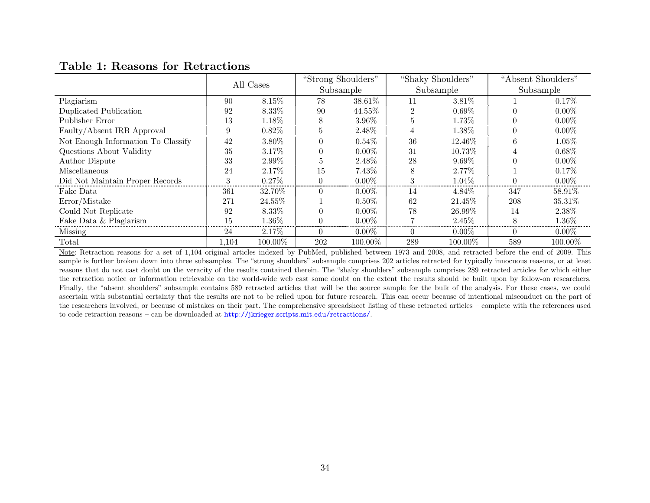|                                    | All Cases |          |                  | "Strong Shoulders" | "Shaky Shoulders" |           | "Absent Shoulders" |          |
|------------------------------------|-----------|----------|------------------|--------------------|-------------------|-----------|--------------------|----------|
|                                    |           |          |                  | Subsample          |                   | Subsample | Subsample          |          |
| Plagiarism                         | 90        | 8.15%    | 78               | 38.61%             | 11                | $3.81\%$  |                    | $0.17\%$ |
| Duplicated Publication             | 92        | 8.33\%   | 90               | 44.55%             | $\overline{2}$    | $0.69\%$  |                    | $0.00\%$ |
| Publisher Error                    | 13        | 1.18\%   | 8                | 3.96%              | 5                 | 1.73\%    |                    | $0.00\%$ |
| Faulty/Absent IRB Approval         | 9         | $0.82\%$ |                  | 2.48%              |                   | 1.38%     |                    | $0.00\%$ |
| Not Enough Information To Classify | 42        | $3.80\%$ |                  | $0.54\%$           | -36               | 12.46\%   |                    | $1.05\%$ |
| Questions About Validity           | 35        | $3.17\%$ | $\theta$         | $0.00\%$           | 31                | 10.73\%   |                    | $0.68\%$ |
| Author Dispute                     | 33        | $2.99\%$ | <sub>5</sub>     | 2.48\%             | 28                | $9.69\%$  |                    | $0.00\%$ |
| Miscellaneous                      | 24        | 2.17%    | 15               | 7.43\%             | 8                 | $2.77\%$  |                    | $0.17\%$ |
| Did Not Maintain Proper Records    | 3         | $0.27\%$ |                  | $0.00\%$           | 3                 | $1.04\%$  |                    | $0.00\%$ |
| Fake Data                          | 361       | 32.70\%  |                  | $0.00\%$           | 14                | 4.84\%    | 347                | 58.91\%  |
| Error/Mistake                      | 271       | 24.55\%  |                  | $0.50\%$           | 62                | 21.45\%   | 208                | 35.31\%  |
| Could Not Replicate                | 92        | 8.33\%   |                  | $0.00\%$           | 78                | $26.99\%$ | 14                 | 2.38%    |
| Fake Data & Plagiarism             | 15        | $1.36\%$ |                  | $0.00\%$           |                   | 2.45%     | 8                  | 1.36\%   |
| Missing                            | 24        | 2.17\%   | $\left( \right)$ | $0.00\%$           | $\Omega$          | $0.00\%$  | 0                  | $0.00\%$ |
| Total                              | 1.104     | 100.00%  | 202              | 100.00%            | 289               | 100.00%   | 589                | 100.00%  |

## **Table 1: Reasons for Retractions**

Note: Retraction reasons for a set of 1,104 original articles indexed by PubMed, published between 1973 and 2008, and retracted before the end of 2009. This sample is further broken down into three subsamples. The "strong shoulders" subsample comprises 202 articles retracted for typically innocuous reasons, or at least reasons that do not cast doubt on the veracity of the results contained therein. The "shaky shoulders" subsample comprises 289 retracted articles for which either the retraction notice or information retrievable on the world-wide web cast some doubt on the extent the results should be built upon by follow-on researchers. Finally, the "absent shoulders" subsample contains 589 retracted articles that will be the source sample for the bulk of the analysis. For these cases, we could ascertain with substantial certainty that the results are not to be relied upon for future research. This can occur because of intentional misconduct on the part of the researchers involved, or because of mistakes on their part. The comprehensive spreadsheet listing of these retracted articles – complete with the references used to code retraction reasons – can be downloaded at http://jkrieger.scripts.mit.edu/retractions/.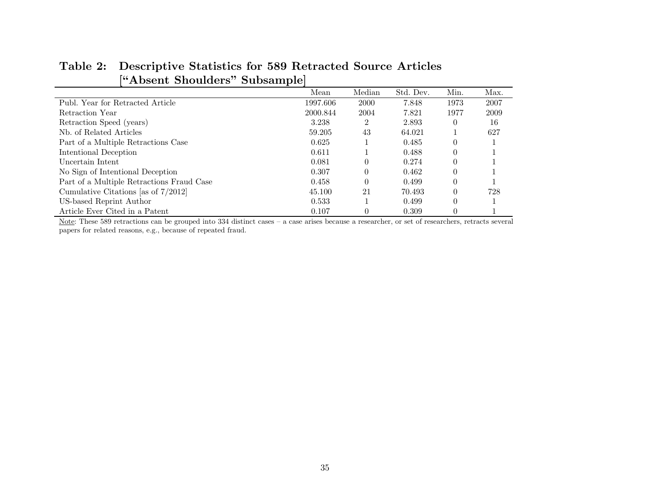|                                           | Mean     | Median   | Std. Dev. | Min.     | Max. |
|-------------------------------------------|----------|----------|-----------|----------|------|
| Publ. Year for Retracted Article          | 1997.606 | 2000     | 7.848     | 1973     | 2007 |
| Retraction Year                           | 2000.844 | 2004     | 7.821     | 1977     | 2009 |
| Retraction Speed (years)                  | 3.238    | 2        | 2.893     | $\theta$ | 16   |
| Nb. of Related Articles                   | 59.205   | 43       | 64.021    |          | 627  |
| Part of a Multiple Retractions Case       | 0.625    |          | 0.485     |          |      |
| Intentional Deception                     | 0.611    |          | 0.488     |          |      |
| Uncertain Intent                          | 0.081    | 0        | 0.274     |          |      |
| No Sign of Intentional Deception          | 0.307    | 0        | 0.462     |          |      |
| Part of a Multiple Retractions Fraud Case | 0.458    | $\theta$ | 0.499     |          |      |
| Cumulative Citations [as of $7/2012$ ]    | 45.100   | 21       | 70.493    |          | 728  |
| US-based Reprint Author                   | 0.533    |          | 0.499     |          |      |
| Article Ever Cited in a Patent            | 0.107    | $\theta$ | 0.309     |          |      |

# **Table 2: Descriptive Statistics for 589 Retracted Source Articles ["Absent Shoulders" Subsample]**

Note: These 589 retractions can be grouped into 334 distinct cases – a case arises because a researcher, or set of researchers, retracts several papers for related reasons, e.g., because of repeated fraud.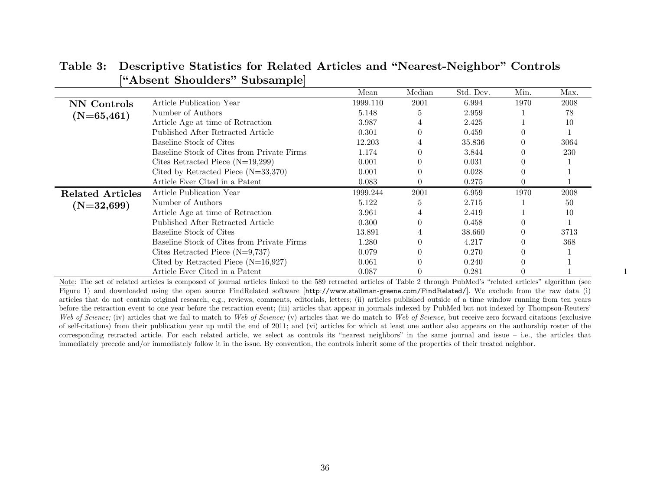|                         |                                            | Mean     | Median | Std. Dev. | Min. | Max.       |
|-------------------------|--------------------------------------------|----------|--------|-----------|------|------------|
| NN Controls             | Article Publication Year                   | 1999.110 | 2001   | 6.994     | 1970 | 2008       |
| $(N=65, 461)$           | Number of Authors                          | 5.148    |        | 2.959     |      | 78         |
|                         | Article Age at time of Retraction          | 3.987    |        | 2.425     |      | 10         |
|                         | Published After Retracted Article          | 0.301    |        | 0.459     |      |            |
|                         | Baseline Stock of Cites                    | 12.203   |        | 35.836    |      | 3064       |
|                         | Baseline Stock of Cites from Private Firms | 1.174    |        | 3.844     |      | <b>230</b> |
|                         | Cites Retracted Piece $(N=19,299)$         | 0.001    |        | 0.031     |      |            |
|                         | Cited by Retracted Piece $(N=33,370)$      | 0.001    |        | 0.028     |      |            |
|                         | Article Ever Cited in a Patent             | 0.083    |        | 0.275     |      |            |
| <b>Related Articles</b> | Article Publication Year                   | 1999.244 | 2001   | 6.959     | 1970 | 2008       |
| $(N=32,699)$            | Number of Authors                          | 5.122    | Ð      | 2.715     |      | 50         |
|                         | Article Age at time of Retraction          | 3.961    |        | 2.419     |      | 10         |
|                         | Published After Retracted Article          | 0.300    |        | 0.458     |      |            |
|                         | Baseline Stock of Cites                    | 13.891   |        | 38.660    |      | 3713       |
|                         | Baseline Stock of Cites from Private Firms | 1.280    |        | 4.217     |      | 368        |
|                         | Cites Retracted Piece $(N=9,737)$          | 0.079    |        | 0.270     |      |            |
|                         | Cited by Retracted Piece $(N=16,927)$      | 0.061    |        | 0.240     |      |            |
|                         | Article Ever Cited in a Patent             | 0.087    |        | 0.281     |      |            |

## **Table 3: Descriptive Statistics for Related Articles and "Nearest-Neighbor" Controls ["Absent Shoulders" Subsample]**

Note: The set of related articles is composed of journal articles linked to the 589 retracted articles of Table 2 through PubMed's "related articles" algorithm (see Figure 1) and downloaded using the open source FindRelated software [http://www.stellman-greene.com/FindRelated/]. We exclude from the raw data (i) articles that do not contain original research, e.g., reviews, comments, editorials, letters; (ii) articles published outside of a time window running from ten years before the retraction event to one year before the retraction event; (iii) articles that appear in journals indexed by PubMed but not indexed by Thompson-Reuters' *Web of Science;* (iv) articles that we fail to match to *Web of Science;* (v) articles that we do match to *Web of Science*, but receive zero forward citations (exclusive of self-citations) from their publication year up until the end of 2011; and (vi) articles for which at least one author also appears on the authorship roster of the corresponding retracted article. For each related article, we select as controls its "nearest neighbors" in the same journal and issue – i.e., the articles that immediately precede and/or immediately follow it in the issue. By convention, the controls inherit some of the properties of their treated neighbor.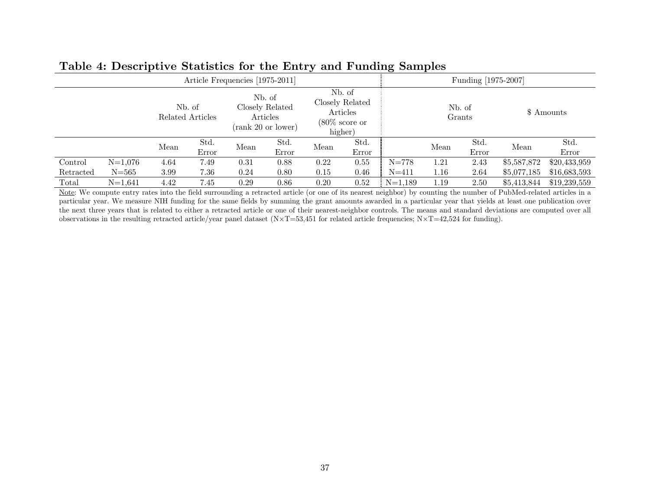| Article Frequencies [1975-2011] |           |                            |               |                                                                                                                                              |               |                  | Funding [1975-2007] |           |            |               |             |               |
|---------------------------------|-----------|----------------------------|---------------|----------------------------------------------------------------------------------------------------------------------------------------------|---------------|------------------|---------------------|-----------|------------|---------------|-------------|---------------|
|                                 |           | Nb. of<br>Related Articles |               | Nb. of<br>Nb. of<br>Closely Related<br>Closely Related<br>Articles<br>Articles<br>$(80\% \text{ score or }$<br>(rank 20 or lower)<br>higher) |               | Nb. of<br>Grants |                     |           | \$ Amounts |               |             |               |
|                                 |           | Mean                       | Std.<br>Error | Mean                                                                                                                                         | Std.<br>Error | Mean             | Std.<br>Error       |           | Mean       | Std.<br>Error | Mean        | Std.<br>Error |
| Control                         | $N=1,076$ | 4.64                       | 7.49          | 0.31                                                                                                                                         | 0.88          | 0.22             | 0.55                | $N = 778$ | 1.21       | 2.43          | \$5,587,872 | \$20,433,959  |
| Retracted                       | $N = 565$ | 3.99                       | 7.36          | 0.24                                                                                                                                         | 0.80          | 0.15             | 0.46                | $N = 411$ | 1.16       | 2.64          | \$5,077,185 | \$16,683,593  |
| Total                           | $N=1,641$ | 4.42                       | 7.45          | 0.29                                                                                                                                         | 0.86          | 0.20             | 0.52                | $N=1,189$ | 1.19       | 2.50          | \$5,413,844 | \$19,239,559  |

## **Table 4: Descriptive Statistics for the Entry and Funding Samples**

Note: We compute entry rates into the field surrounding a retracted article (or one of its nearest neighbor) by counting the number of PubMed-related articles in a particular year. We measure NIH funding for the same fields by summing the grant amounts awarded in a particular year that yields at least one publication over the next three years that is related to either a retracted article or one of their nearest-neighbor controls. The means and standard deviations are computed over all observations in the resulting retracted article/year panel dataset  $(N \times T = 53,451$  for related article frequencies;  $N \times T = 42,524$  for funding).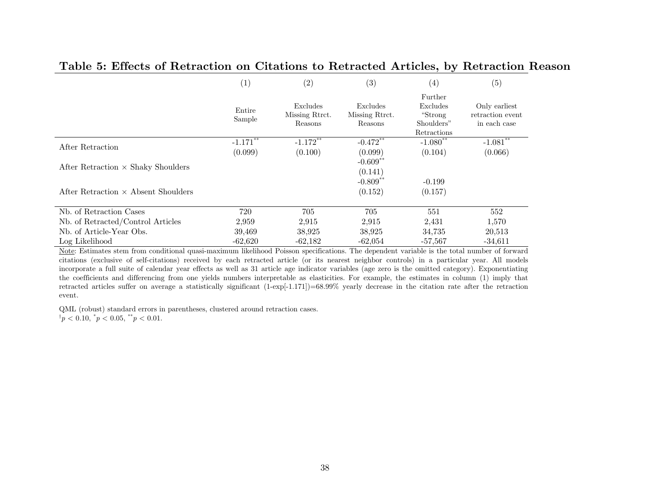|                                            | $\left( 1\right)$ | (2)                                   | (3)                                   | (4)                                                          | (5)                                               |
|--------------------------------------------|-------------------|---------------------------------------|---------------------------------------|--------------------------------------------------------------|---------------------------------------------------|
|                                            | Entire<br>Sample  | Excludes<br>Missing Rtrct.<br>Reasons | Excludes<br>Missing Rtrct.<br>Reasons | Further<br>Excludes<br>"Strong"<br>Shoulders"<br>Retractions | Only earliest<br>retraction event<br>in each case |
| After Retraction                           | $-1.171***$       | $-1.172**$                            | $-0.472**$                            | $-1.080**$                                                   | $-1.081**$                                        |
|                                            | (0.099)           | (0.100)                               | (0.099)                               | (0.104)                                                      | (0.066)                                           |
| After Retraction $\times$ Shaky Shoulders  |                   |                                       | $-0.609**$                            |                                                              |                                                   |
| After Retraction $\times$ Absent Shoulders |                   |                                       | (0.141)<br>$-0.809**$<br>(0.152)      | $-0.199$<br>(0.157)                                          |                                                   |
| Nb. of Retraction Cases                    | 720               | 705                                   | 705                                   | 551                                                          | 552                                               |
| Nb. of Retracted/Control Articles          | 2,959             | 2,915                                 | 2,915                                 | 2,431                                                        | 1,570                                             |
| Nb. of Article-Year Obs.                   | 39,469            | 38,925                                | 38,925                                | 34,735                                                       | 20,513                                            |
| Log Likelihood                             | $-62,620$         | $-62,182$                             | $-62,054$                             | $-57,567$                                                    | $-34.611$                                         |

## **Table 5: Effects of Retraction on Citations to Retracted Articles, by Retraction Reason**

Note: Estimates stem from conditional quasi-maximum likelihood Poisson specifications. The dependent variable is the total number of forward citations (exclusive of self-citations) received by each retracted article (or its nearest neighbor controls) in a particular year. All models incorporate a full suite of calendar year effects as well as 31 article age indicator variables (age zero is the omitted category). Exponentiating the coefficients and differencing from one yields numbers interpretable as elasticities. For example, the estimates in column (1) imply that retracted articles suffer on average a statistically significant (1-exp[-1.171])=68.99% yearly decrease in the citation rate after the retraction event.

QML (robust) standard errors in parentheses, clustered around retraction cases.  $\dot{p}$  < 0.10,  $\dot{p}$  < 0.05,  $\dot{p}$  < 0.01.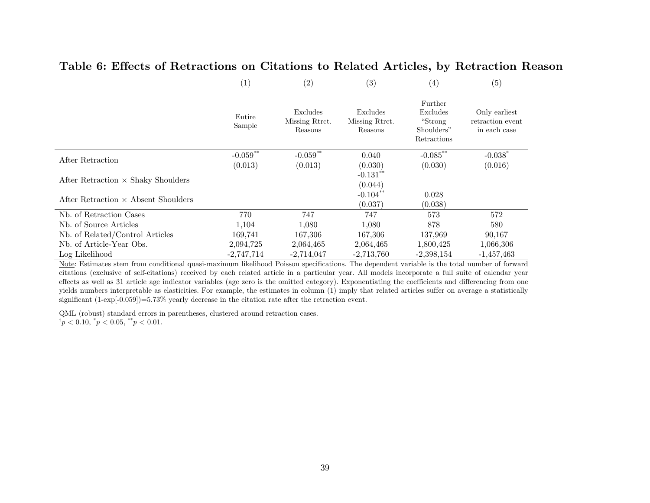## **Table 6: Effects of Retractions on Citations to Related Articles, by Retraction Reason**

|                                            | (1)                   | (2)                                   | (3)                                   | (4)                                                          | (5)                                               |
|--------------------------------------------|-----------------------|---------------------------------------|---------------------------------------|--------------------------------------------------------------|---------------------------------------------------|
|                                            | Entire<br>Sample      | Excludes<br>Missing Rtrct.<br>Reasons | Excludes<br>Missing Rtrct.<br>Reasons | Further<br>Excludes<br>"Strong"<br>Shoulders"<br>Retractions | Only earliest<br>retraction event<br>in each case |
| After Retraction                           | $-0.059**$<br>(0.013) | $-0.059**$<br>(0.013)                 | 0.040<br>(0.030)                      | $-0.085***$<br>(0.030)                                       | $-0.038*$<br>(0.016)                              |
| After Retraction $\times$ Shaky Shoulders  |                       |                                       | $-0.131**$<br>(0.044)                 |                                                              |                                                   |
| After Retraction $\times$ Absent Shoulders |                       |                                       | $-0.104$ **<br>(0.037)                | 0.028<br>(0.038)                                             |                                                   |
| Nb. of Retraction Cases                    | 770                   | 747                                   | 747                                   | 573                                                          | 572                                               |
| Nb. of Source Articles                     | 1,104                 | 1,080                                 | 1,080                                 | 878                                                          | 580                                               |
| Nb. of Related/Control Articles            | 169,741               | 167,306                               | 167,306                               | 137,969                                                      | 90,167                                            |
| Nb. of Article-Year Obs.                   | 2,094,725             | 2,064,465                             | 2,064,465                             | 1,800,425                                                    | 1,066,306                                         |
| Log Likelihood                             | $-2,747,714$          | $-2,714,047$                          | $-2,713,760$                          | $-2,398,154$                                                 | $-1,457,463$                                      |

Note: Estimates stem from conditional quasi-maximum likelihood Poisson specifications. The dependent variable is the total number of forward citations (exclusive of self-citations) received by each related article in a particular year. All models incorporate a full suite of calendar year effects as well as 31 article age indicator variables (age zero is the omitted category). Exponentiating the coefficients and differencing from one <sup>y</sup>ields numbers interpretable as elasticities. For example, the estimates in column (1) imply that related articles suffer on average a statistically significant  $(1-\exp[-0.059])=5.73\%$  yearly decrease in the citation rate after the retraction event.

QML (robust) standard errors in parentheses, clustered around retraction cases.  $\mathbf{p}^{\dagger}$   $p < 0.10, \mathbf{p}^{\dagger}$   $< 0.05, \mathbf{p}^{\dagger}$   $p < 0.01$ .

Ĭ.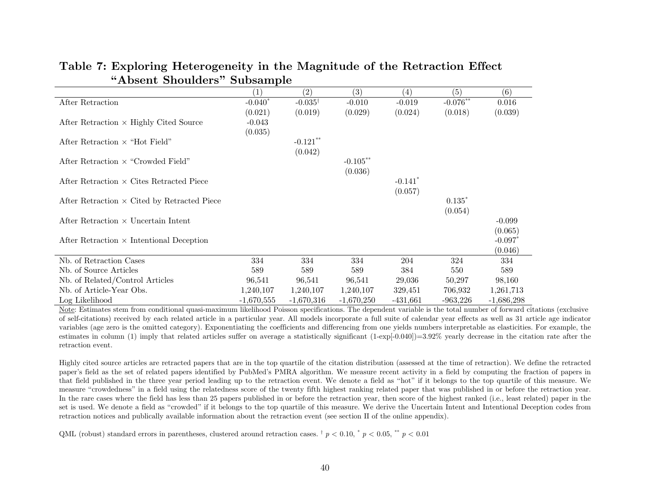|                                                    | (1)          | (2)                | (3)          | (4)                   | (5)             | (6)                   |
|----------------------------------------------------|--------------|--------------------|--------------|-----------------------|-----------------|-----------------------|
| After Retraction                                   | $-0.040^*$   | $-0.035^{\dagger}$ | $-0.010$     | $-0.019$              | $-0.076***$     | 0.016                 |
|                                                    | (0.021)      | (0.019)            | (0.029)      | (0.024)               | (0.018)         | (0.039)               |
| After Retraction $\times$ Highly Cited Source      | $-0.043$     |                    |              |                       |                 |                       |
|                                                    | (0.035)      |                    |              |                       |                 |                       |
| After Retraction $\times$ "Hot Field"              |              | $-0.121***$        |              |                       |                 |                       |
|                                                    |              | (0.042)            |              |                       |                 |                       |
| After Retraction $\times$ "Crowded Field"          |              |                    | $-0.105***$  |                       |                 |                       |
|                                                    |              |                    | (0.036)      |                       |                 |                       |
| After Retraction $\times$ Cites Retracted Piece    |              |                    |              | $-0.141$ <sup>*</sup> |                 |                       |
|                                                    |              |                    |              | (0.057)               |                 |                       |
| After Retraction $\times$ Cited by Retracted Piece |              |                    |              |                       | $0.135^{\circ}$ |                       |
|                                                    |              |                    |              |                       | (0.054)         |                       |
| After Retraction $\times$ Uncertain Intent         |              |                    |              |                       |                 | $-0.099$              |
|                                                    |              |                    |              |                       |                 | (0.065)               |
| After Retraction $\times$ Intentional Deception    |              |                    |              |                       |                 | $-0.097$ <sup>*</sup> |
|                                                    |              |                    |              |                       |                 | (0.046)               |
| Nb. of Retraction Cases                            | 334          | 334                | 334          | 204                   | 324             | 334                   |
| Nb. of Source Articles                             | 589          | 589                | 589          | 384                   | 550             | 589                   |
| Nb. of Related/Control Articles                    | 96,541       | 96,541             | 96,541       | 29,036                | 50,297          | 98,160                |
| Nb. of Article-Year Obs.                           | 1,240,107    | 1,240,107          | 1,240,107    | 329,451               | 706,932         | 1,261,713             |
| Log Likelihood                                     | $-1,670,555$ | $-1,670,316$       | $-1,670,250$ | $-431,661$            | $-963,226$      | $-1,686,298$          |

## **Table 7: Exploring Heterogeneity in the Magnitude of the Retraction Effect ''Absent Shoulders'' Subsample**

Note: Estimates stem from conditional quasi-maximum likelihood Poisson specifications. The dependent variable is the total number of forward citations (exclusive of self-citations) received by each related article in a particular year. All models incorporate a full suite of calendar year effects as well as 31 article age indicator variables (age zero is the omitted category). Exponentiating the coefficients and differencing from one yields numbers interpretable as elasticities. For example, the estimates in column (1) imply that related articles suffer on average a statistically significant (1-exp[-0.040])=3.92% yearly decrease in the citation rate after the retraction event.

Highly cited source articles are retracted papers that are in the top quartile of the citation distribution (assessed at the time of retraction). We define the retracted paper's field as the set of related papers identified by PubMed's PMRA algorithm. We measure recent activity in a field by computing the fraction of papers in that field published in the three year period leading up to the retraction event. We denote a field as ''hot'' if it belongs to the top quartile of this measure. We measure ''crowdedness'' in a field using the relatedness score of the twenty fifth highest ranking related paper that was published in or before the retraction year. In the rare cases where the field has less than 25 papers published in or before the retraction year, then score of the highest ranked (i.e., least related) paper in the set is used. We denote a field as ''crowded'' if it belongs to the top quartile of this measure. We derive the Uncertain Intent and Intentional Deception codes from retraction notices and publically available information about the retraction event (see section II of the online appendix).

QML (robust) standard errors in parentheses, clustered around retraction cases.  $\frac{1}{T} p \leq 0.10$ ,  $\frac{k}{T} p \leq 0.05$ ,  $\frac{k}{T} p \leq 0.01$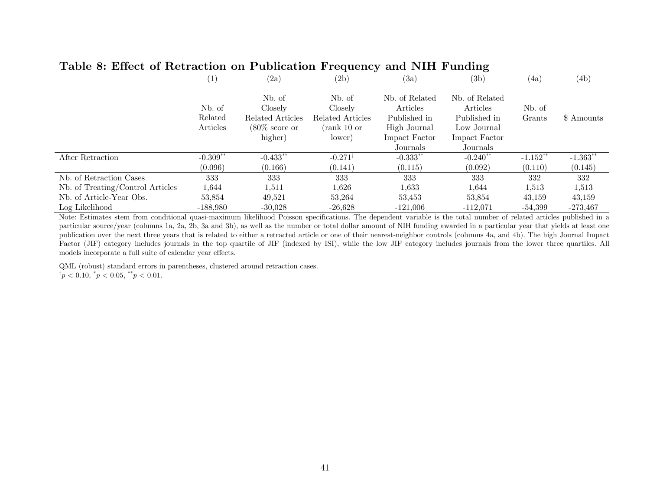|                                  |                   |                                       | $\sim$ 4 $\sim$ $\sim$ $\sim$ $\sim$               | $\sim$ $\sim$                              |                                            |                  |            |
|----------------------------------|-------------------|---------------------------------------|----------------------------------------------------|--------------------------------------------|--------------------------------------------|------------------|------------|
|                                  | $\left(1\right)$  | (2a)                                  | (2b)                                               | (3a)                                       | (3b)                                       | (4a)             | (4b)       |
|                                  | Nb. of<br>Related | Nb. of<br>Closely<br>Related Articles | N <sub>b</sub> . of<br>Closely<br>Related Articles | Nb. of Related<br>Articles<br>Published in | Nb. of Related<br>Articles<br>Published in | Nb. of<br>Grants | \$ Amounts |
|                                  | Articles          | $(80\% \text{ score or }$             | (rank 10 or                                        | High Journal                               | Low Journal                                |                  |            |
|                                  |                   | higher)                               | lower)                                             | Impact Factor                              | Impact Factor                              |                  |            |
|                                  |                   |                                       |                                                    | Journals                                   | Journals                                   |                  |            |
| After Retraction                 | $-0.309**$        | $-0.433***$                           | $-0.271$ <sup>†</sup>                              | $-0.333$ **                                | $-0.240**$                                 | $-1.152**$       | $-1.363**$ |
|                                  | (0.096)           | (0.166)                               | (0.141)                                            | (0.115)                                    | (0.092)                                    | (0.110)          | (0.145)    |
| Nb. of Retraction Cases          | 333               | 333                                   | 333                                                | 333                                        | 333                                        | 332              | 332        |
| Nb. of Treating/Control Articles | 1,644             | 1,511                                 | 1,626                                              | 1,633                                      | 1,644                                      | 1,513            | 1,513      |
| Nb. of Article-Year Obs.         | 53,854            | 49,521                                | 53,264                                             | 53,453                                     | 53,854                                     | 43,159           | 43,159     |
| Log Likelihood                   | $-188.980$        | $-30.028$                             | $-26.628$                                          | $-121.006$                                 | $-112.071$                                 | $-54.399$        | $-273.467$ |

## **Table 8: Effect of Retraction on Publication Frequency and NIH Funding**

Note: Estimates stem from conditional quasi-maximum likelihood Poisson specifications. The dependent variable is the total number of related articles published in a particular source/year (columns 1a, 2a, 2b, 3a and 3b), as well as the number or total dollar amount of NIH funding awarded in a particular year that yields at least one publication over the next three years that is related to either a retracted article or one of their nearest-neighbor controls (columns 4a, and 4b). The high Journal Impact Factor (JIF) category includes journals in the top quartile of JIF (indexed by ISI), while the low JIF category includes journals from the lower three quartiles. All models incorporate a full suite of calendar year effects.

QML (robust) standard errors in parentheses, clustered around retraction cases.  $\phi_p^{\dagger}$  < 0.10,  $\phi_p^{\dagger}$  < 0.05,  $\phi_p^{\dagger}$  < 0.01.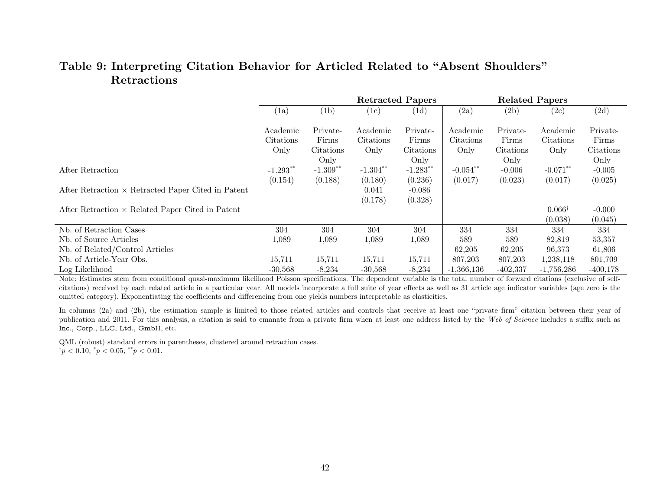# **Table 9: Interpreting Citation Behavior for Articled Related to "Absent Shoulders" Retractions**

|                                                           |            |            | <b>Retracted Papers</b> |             | <b>Related Papers</b> |            |                   |            |
|-----------------------------------------------------------|------------|------------|-------------------------|-------------|-----------------------|------------|-------------------|------------|
|                                                           | (1a)       | (1b)       | (1c)                    | (1d)        | (2a)                  | (2b)       | (2c)              | (2d)       |
|                                                           |            |            |                         |             |                       |            |                   |            |
|                                                           | Academic   | Private-   | Academic                | Private-    | Academic              | Private-   | Academic          | Private-   |
|                                                           | Citations  | Firms      | Citations               | Firms       | Citations             | Firms      | Citations         | Firms      |
|                                                           | Only       | Citations  | Only                    | Citations   | Only                  | Citations  | Only              | Citations  |
|                                                           |            | Only       |                         | Only        |                       | Only       |                   | Only       |
| After Retraction                                          | $-1.293**$ | $-1.309**$ | $-1.304**$              | $-1.283***$ | $-0.054***$           | $-0.006$   | $-0.071***$       | $-0.005$   |
|                                                           | (0.154)    | (0.188)    | (0.180)                 | (0.236)     | (0.017)               | (0.023)    | (0.017)           | (0.025)    |
| After Retraction $\times$ Retracted Paper Cited in Patent |            |            | 0.041                   | $-0.086$    |                       |            |                   |            |
|                                                           |            |            | (0.178)                 | (0.328)     |                       |            |                   |            |
| After Retraction $\times$ Related Paper Cited in Patent   |            |            |                         |             |                       |            | $0.066^{\dagger}$ | $-0.000$   |
|                                                           |            |            |                         |             |                       |            | (0.038)           | (0.045)    |
| Nb. of Retraction Cases                                   | 304        | 304        | 304                     | 304         | 334                   | 334        | 334               | 334        |
| Nb. of Source Articles                                    | 1,089      | 1,089      | 1,089                   | 1,089       | 589                   | 589        | 82,819            | 53,357     |
| Nb. of Related/Control Articles                           |            |            |                         |             | 62,205                | 62,205     | 96,373            | 61,806     |
| Nb. of Article-Year Obs.                                  | 15,711     | 15,711     | 15,711                  | 15,711      | 807,203               | 807,203    | 1,238,118         | 801,709    |
| Log Likelihood                                            | $-30.568$  | $-8,234$   | $-30.568$               | $-8,234$    | $-1,366,136$          | $-402,337$ | $-1,756,286$      | $-400,178$ |

Note: Estimates stem from conditional quasi-maximum likelihood Poisson specifications. The dependent variable is the total number of forward citations (exclusive of selfcitations) received by each related article in a particular year. All models incorporate a full suite of year effects as well as 31 article age indicator variables (age zero is the omitted category). Exponentiating the coefficients and differencing from one yields numbers interpretable as elasticities.

In columns (2a) and (2b), the estimation sample is limited to those related articles and controls that receive at least one "private firm" citation between their year of publication and 2011. For this analysis, a citation is said to emanate from a private firm when at least one address listed by the *Web of Science* includes a suffix such as Inc., Corp., LLC, Ltd., GmbH, etc.

QML (robust) standard errors in parentheses, clustered around retraction cases.  $\phi$  + *p* < 0.10,  $\phi$  + 0.05,  $\phi$  + *p* < 0.01.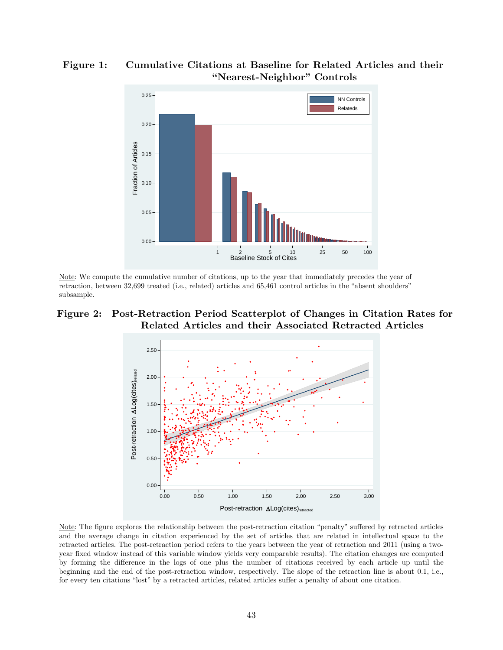**Figure 1: Cumulative Citations at Baseline for Related Articles and their "Nearest-Neighbor" Controls** 



Note: We compute the cumulative number of citations, up to the year that immediately precedes the year of retraction, between 32,699 treated (i.e., related) articles and 65,461 control articles in the "absent shoulders" subsample.

**Figure 2: Post-Retraction Period Scatterplot of Changes in Citation Rates for Related Articles and their Associated Retracted Articles** 



Note: The figure explores the relationship between the post-retraction citation "penalty" suffered by retracted articles and the average change in citation experienced by the set of articles that are related in intellectual space to the retracted articles. The post-retraction period refers to the years between the year of retraction and 2011 (using a twoyear fixed window instead of this variable window yields very comparable results). The citation changes are computed by forming the difference in the logs of one plus the number of citations received by each article up until the beginning and the end of the post-retraction window, respectively. The slope of the retraction line is about 0.1, i.e., for every ten citations "lost" by a retracted articles, related articles suffer a penalty of about one citation.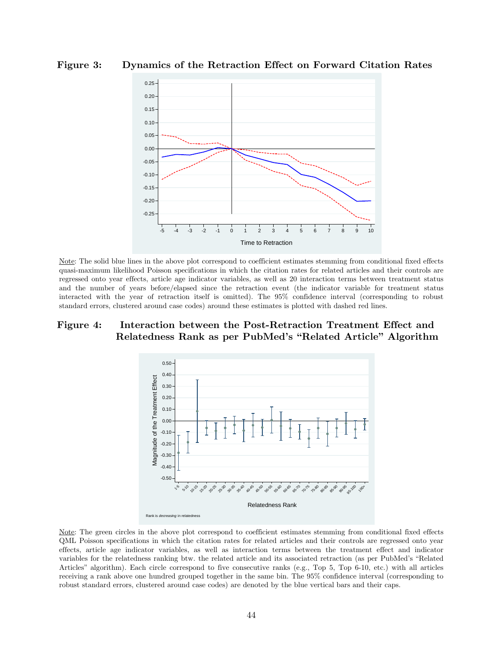



Note: The solid blue lines in the above plot correspond to coefficient estimates stemming from conditional fixed effects quasi-maximum likelihood Poisson specifications in which the citation rates for related articles and their controls are regressed onto year effects, article age indicator variables, as well as 20 interaction terms between treatment status and the number of years before/elapsed since the retraction event (the indicator variable for treatment status interacted with the year of retraction itself is omitted). The 95% confidence interval (corresponding to robust standard errors, clustered around case codes) around these estimates is plotted with dashed red lines.

### **Figure 4: Interaction between the Post-Retraction Treatment Effect and Relatedness Rank as per PubMed's "Related Article" Algorithm**



Note: The green circles in the above plot correspond to coefficient estimates stemming from conditional fixed effects QML Poisson specifications in which the citation rates for related articles and their controls are regressed onto year effects, article age indicator variables, as well as interaction terms between the treatment effect and indicator variables for the relatedness ranking btw. the related article and its associated retraction (as per PubMed's "Related Articles" algorithm). Each circle correspond to five consecutive ranks (e.g., Top 5, Top 6-10, etc.) with all articles receiving a rank above one hundred grouped together in the same bin. The 95% confidence interval (corresponding to robust standard errors, clustered around case codes) are denoted by the blue vertical bars and their caps.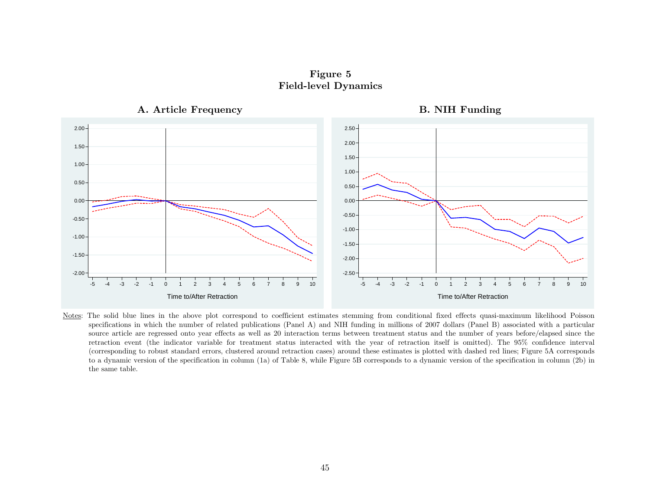**Figure 5 Field-level Dynamics** 



Notes: The solid blue lines in the above plot correspond to coefficient estimates stemming from conditional fixed effects quasi-maximum likelihood Poisson specifications in which the number of related publications (Panel A) and NIH funding in millions of 2007 dollars (Panel B) associated with a particular source article are regressed onto year effects as well as 20 interaction terms between treatment status and the number of years before/elapsed since the retraction event (the indicator variable for treatment status interacted with the year of retraction itself is omitted). The 95% confidence interval (corresponding to robust standard errors, clustered around retraction cases) around these estimates is plotted with dashed red lines; Figure 5A corresponds to a dynamic version of the specification in column (1a) of Table 8, while Figure 5B corresponds to a dynamic version of the specification in column (2b) in the same table.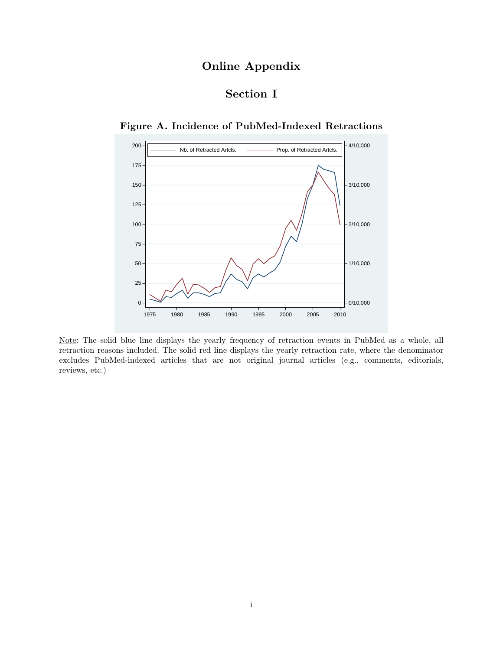## **Online Appendix**

# **Section I**





Note: The solid blue line displays the yearly frequency of retraction events in PubMed as a whole, all retraction reasons included. The solid red line displays the yearly retraction rate, where the denominator excludes PubMed-indexed articles that are not original journal articles (e.g., comments, editorials, reviews, etc.)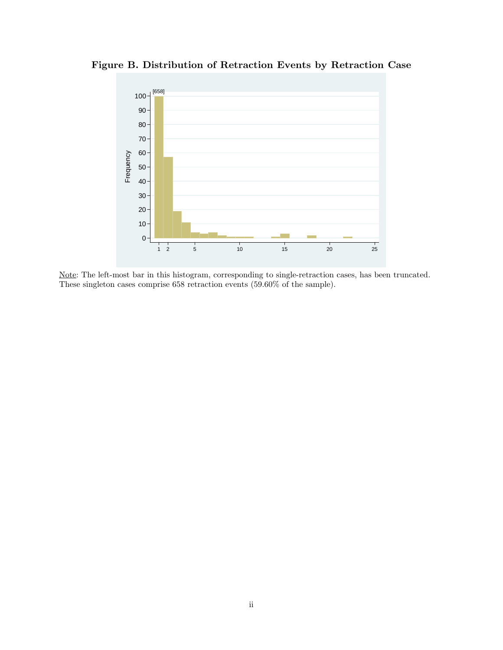

**Figure B. Distribution of Retraction Events by Retraction Case** 

Note: The left-most bar in this histogram, corresponding to single-retraction cases, has been truncated. These singleton cases comprise 658 retraction events (59.60% of the sample).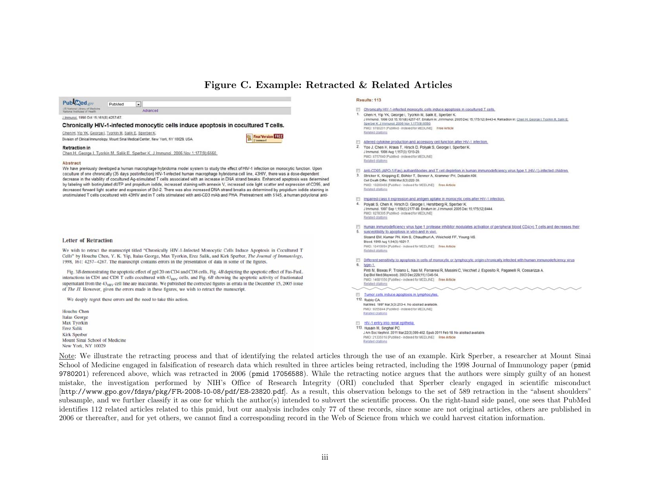#### **Figure C. Example: Retracted & Related Articles**

| Publiced gov                                                     | PubMed |          |  |
|------------------------------------------------------------------|--------|----------|--|
| US National Library of Medicine<br>National Institutes of Health |        | Advanced |  |

J Immunol, 1998 Oct 15;161(8):4257-67.

#### Chronically HIV-1-infected monocytic cells induce apoptosis in cocultured T cells.

Chen H, Yip YK, George I, Tyorkin M, Salik E, Sperber K,

Division of Clinical Immunology, Mount Sinai Medical Center, New York, NY 10029, USA.

**Final Version ERES** 

#### **Retraction in**

Chen H. George I. Tyorkin M. Salik E. Sperber K. J Immunol. 2006 Nov 1:177(9):6560

#### Abstract

We have previously developed a human macrophage hybridoma model system to study the effect of HIV-1 infection on monocytic function. Upon coculture of one chronically (35 days postinfection) HIV-1-infected human macrophage hybridoma cell line, 43HIV, there was a dose-dependent decrease in the viability of cocultured Ag-stimulated T cells associated with an increase in DNA strand breaks. Enhanced apoptosis was determined by labeling with biotinylated dUTP and propidium iodide, increased staining with annexin V, increased side light scatter and expression of CD95, and decreased forward light scatter and expression of Bcl-2. There was also increased DNA strand breaks as determined by propidium iodide staining in unstimulated T cells cocultured with 43HIV and in T cells stimulated with anti-CD3 mAb and PHA. Pretreatment with 5145, a human polyclonal anti-

#### **Letter of Retraction**

We wish to retract the manuscript titled "Chronically HIV-1-Infected Monocytic Cells Induce Apoptosis in Cocultured T Cells" by Houchu Chen, Y. K. Yip, Italas George, Max Tyorkin, Erez Salik, and Kirk Sperber, The Journal of Immunology, 1998, 161: 4257-4267. The manuscript contains errors in the presentation of data in some of the figures.

Fig. 3B demonstrating the apoptotic effect of gp120 on CD4 and CD8 cells, Fig. 4B depicting the apoptotic effect of Fas-FasL interactions in CD4 and CD8 T cells cocultured with 43<sub>HIV</sub> cells, and Fig. 6B showing the apoptotic activity of fractionated supernatant from the 43<sub>HIV</sub> cell line are inaccurate. We published the corrected figures as errata in the December 15, 2005 issue of The JI. However, given the errors made in these figures, we wish to retract the manuscript.

We deeply regret these errors and the need to take this action.

Houchu Chen Italas George Max Tyorkin **Erez Salik** Kirk Sperber Mount Sinai School of Medicine New York, NY 10029

#### Results: 113

| 四 | Chronically HIV-1-infected monocytic cells induce apoptosis in cocultured T cells.                                                                                                                                                                                                                                                                                                                              |
|---|-----------------------------------------------------------------------------------------------------------------------------------------------------------------------------------------------------------------------------------------------------------------------------------------------------------------------------------------------------------------------------------------------------------------|
|   | 1. Chen H, Yip YK, George I, Tyorkin M, Salik E, Sperber K.<br>J Immunol, 1998 Oct 15:161(8):4257-67, Erratum in: J Immunol, 2005 Dec 15:175(12):8443-4, Retraction in: Chen H. George I, Typrkin M, Salik E.<br>Sperber K. J Immunol. 2006 Nov 1:177(9):6560.<br>PMID: 9780201 (PubMed - indexed for MEDLINE) Free Article<br>Related citations                                                                |
|   | FT Altered cytokine production and accessory cell function after HIV-1 infection.                                                                                                                                                                                                                                                                                                                               |
|   | 2. Yoo J, Chen H, Kraus T, Hirsch D, Polyak S, George I, Sperber K.<br>J Immunol. 1996 Aug 1:157(3):1313-20.<br>PMID: 8757640 (PubMed - indexed for MEDLINE)<br>Related citations                                                                                                                                                                                                                               |
|   | Anti-CD95 (APO-1/Fas) autoantibodies and T cell depletion in human immunodeficiency virus type 1 (HIV-1)-infected children.<br>3. Stricker K, Knipping E, Böhler T, Benner A, Krammer PH, Debatin KM.<br>Cell Death Differ 1998 Mar 5/31222-30.<br>PMID: 10200468 (PubMed - indexed for MEDLINE) Free Article                                                                                                   |
|   | Related citations                                                                                                                                                                                                                                                                                                                                                                                               |
|   | Impaired class II expression and antigen uptake in monocytic cells after HIV-1 infection.<br>4. Polyak S, Chen H, Hirsch D, George I, Hershberg R, Sperber K.<br>J Immunol. 1997 Sep 1;159(5):2177-88. Erratum in: J Immunol. 2005 Dec 15:175(12):8444.<br>PMID: 9278305 (PubMed - indexed for MEDLINE)<br>Related citations                                                                                    |
|   | Human immunodeficiency virus type 1 protease inhibitor modulates activation of peripheral blood CD4(+) T cells and decreases their<br>5. susceptibility to apoptosis in vitro and in vivo.<br>Sloand EM, Kumar PN, Kim S, Chaudhuri A, Weichold FF, Young NS.<br>Blood. 1999 Aug 1:94(3):1021-7.<br>PMID: 10419894 (PubMed - indexed for MEDLINE) Free Article<br>Related citations                             |
|   | Different sensitivity to apoptosis in cells of monocytic or lymphocytic origin chronically infected with human immunodeficiency virus<br>6. type-1.<br>Pinti M. Biswas P. Troiano L. Nasi M. Ferraresi R. Mussini C. Vecchief J. Esposito R. Paganelli R. Cossarizza A.<br>Exp Biol Med (Maywood). 2003 Dec 228(11):1346-54.<br>PMID: 14681550 (PubMed - indexed for MEDLINE) Free Article<br>Related citations |
|   | Tumor cells induce apoptosis in lymphocytes.<br>112 Rubio CA<br>Nat Med. 1997 Mar.3(3):253-4. No abstract available.<br>PMD: 9055844 [PubMed - indexed for MEDLINE]<br><b>Related citations</b>                                                                                                                                                                                                                 |
|   | HIV-1 entry into renal epithelia<br>113. Husain M, Singhal PC.<br>J Am Soc Nephrol. 2011 Mar.22(3):399-402. Epub 2011 Feb 18. No abstract available.<br>PMID: 21335518 (PubMed - Indexed for MEDLINE) Free Article<br>Related citations                                                                                                                                                                         |

Note: We illustrate the retracting process and that of identifying the related articles through the use of an example. Kirk Sperber, a researcher at Mount Sinai School of Medicine engaged in falsification of research data which resulted in three articles being retracted, including the 1998 Journal of Immunology paper (pmid <sup>9780201</sup>) referenced above, which was retracted in 2006 (pmid 17056588). While the retracting notice argues that the authors were simply guilty of an honest mistake, the investigation performed by NIH's Office of Research Integrity (ORI) concluded that Sperber clearly engaged in scientific misconduct [http://www.gpo.gov/fdsys/pkg/FR-2008-10-08/pdf/E8-23820.pdf]. As a result, this observation belongs to the set of 589 retraction in the "absent shoulders" subsample, and we further classify it as one for which the author(s) intended to subvert the scientific process. On the right-hand side panel, one sees that PubMed identifies 112 related articles related to this pmid, but our analysis includes only 77 of these records, since some are not original articles, others are published in 2006 or thereafter, and for yet others, we cannot find a corresponding record in the Web of Science from which we could harvest citation information.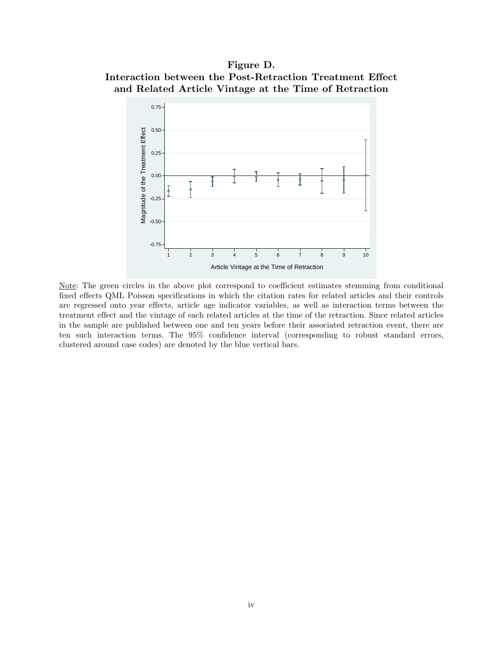**Figure D. Interaction between the Post-Retraction Treatment Effect and Related Article Vintage at the Time of Retraction** 



Note: The green circles in the above plot correspond to coefficient estimates stemming from conditional fixed effects QML Poisson specifications in which the citation rates for related articles and their controls are regressed onto year effects, article age indicator variables, as well as interaction terms between the treatment effect and the vintage of each related articles at the time of the retraction. Since related articles in the sample are published between one and ten years before their associated retraction event, there are ten such interaction terms. The 95% confidence interval (corresponding to robust standard errors, clustered around case codes) are denoted by the blue vertical bars.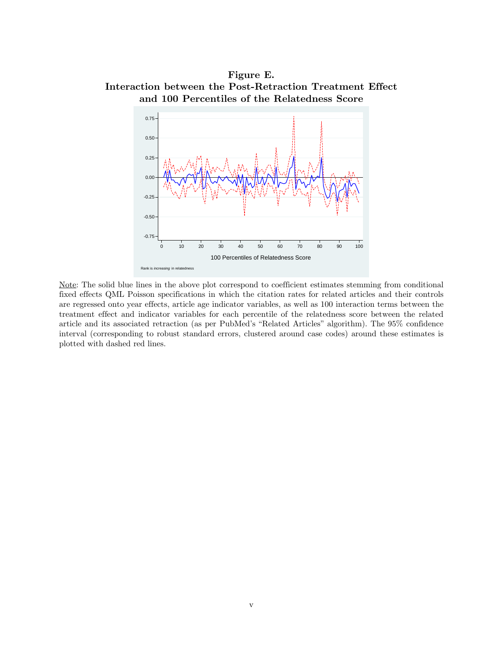**Figure E. Interaction between the Post-Retraction Treatment Effect and 100 Percentiles of the Relatedness Score** 



Note: The solid blue lines in the above plot correspond to coefficient estimates stemming from conditional fixed effects QML Poisson specifications in which the citation rates for related articles and their controls are regressed onto year effects, article age indicator variables, as well as 100 interaction terms between the treatment effect and indicator variables for each percentile of the relatedness score between the related article and its associated retraction (as per PubMed's "Related Articles" algorithm). The 95% confidence interval (corresponding to robust standard errors, clustered around case codes) around these estimates is plotted with dashed red lines.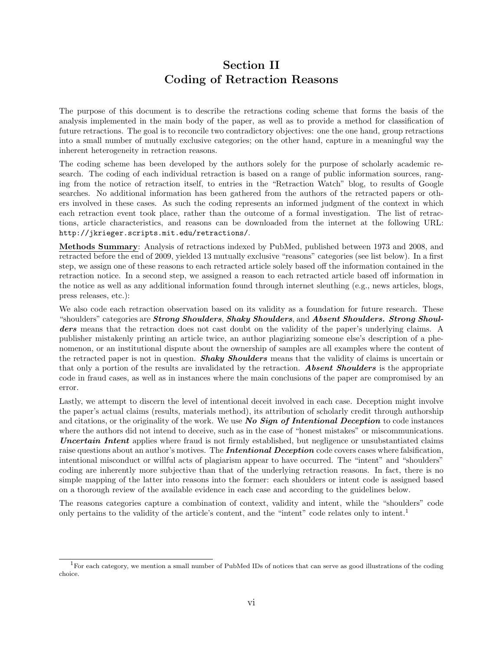# Section II Coding of Retraction Reasons

The purpose of this document is to describe the retractions coding scheme that forms the basis of the analysis implemented in the main body of the paper, as well as to provide a method for classification of future retractions. The goal is to reconcile two contradictory objectives: one the one hand, group retractions into a small number of mutually exclusive categories; on the other hand, capture in a meaningful way the inherent heterogeneity in retraction reasons.

The coding scheme has been developed by the authors solely for the purpose of scholarly academic research. The coding of each individual retraction is based on a range of public information sources, ranging from the notice of retraction itself, to entries in the "Retraction Watch" blog, to results of Google searches. No additional information has been gathered from the authors of the retracted papers or others involved in these cases. As such the coding represents an informed judgment of the context in which each retraction event took place, rather than the outcome of a formal investigation. The list of retractions, article characteristics, and reasons can be downloaded from the internet at the following URL: http://jkrieger.scripts.mit.edu/retractions/.

Methods Summary: Analysis of retractions indexed by PubMed, published between 1973 and 2008, and retracted before the end of 2009, yielded 13 mutually exclusive "reasons" categories (see list below). In a first step, we assign one of these reasons to each retracted article solely based off the information contained in the retraction notice. In a second step, we assigned a reason to each retracted article based off information in the notice as well as any additional information found through internet sleuthing (e.g., news articles, blogs, press releases, etc.):

We also code each retraction observation based on its validity as a foundation for future research. These "shoulders" categories are Strong Shoulders, Shaky Shoulders, and Absent Shoulders. Strong Shoulders means that the retraction does not cast doubt on the validity of the paper's underlying claims. A publisher mistakenly printing an article twice, an author plagiarizing someone else's description of a phenomenon, or an institutional dispute about the ownership of samples are all examples where the content of the retracted paper is not in question. **Shaky Shoulders** means that the validity of claims is uncertain or that only a portion of the results are invalidated by the retraction. **Absent Shoulders** is the appropriate code in fraud cases, as well as in instances where the main conclusions of the paper are compromised by an error.

Lastly, we attempt to discern the level of intentional deceit involved in each case. Deception might involve the paper's actual claims (results, materials method), its attribution of scholarly credit through authorship and citations, or the originality of the work. We use  $No$  Sign of Intentional Deception to code instances where the authors did not intend to deceive, such as in the case of "honest mistakes" or miscommunications. **Uncertain Intent** applies where fraud is not firmly established, but negligence or unsubstantiated claims raise questions about an author's motives. The **Intentional Deception** code covers cases where falsification, intentional misconduct or willful acts of plagiarism appear to have occurred. The "intent" and "shoulders" coding are inherently more subjective than that of the underlying retraction reasons. In fact, there is no simple mapping of the latter into reasons into the former: each shoulders or intent code is assigned based on a thorough review of the available evidence in each case and according to the guidelines below.

The reasons categories capture a combination of context, validity and intent, while the "shoulders" code only pertains to the validity of the article's content, and the "intent" code relates only to intent.<sup>1</sup>

<sup>1</sup>For each category, we mention a small number of PubMed IDs of notices that can serve as good illustrations of the coding choice.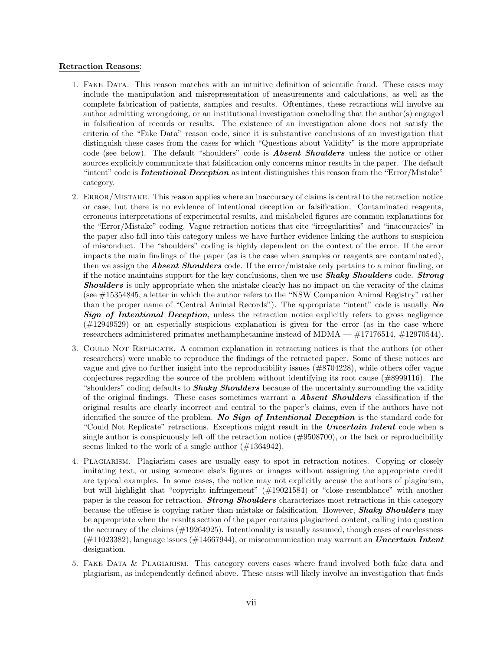#### Retraction Reasons:

- 1. Fake Data. This reason matches with an intuitive definition of scientific fraud. These cases may include the manipulation and misrepresentation of measurements and calculations, as well as the complete fabrication of patients, samples and results. Oftentimes, these retractions will involve an author admitting wrongdoing, or an institutional investigation concluding that the author(s) engaged in falsification of records or results. The existence of an investigation alone does not satisfy the criteria of the "Fake Data" reason code, since it is substantive conclusions of an investigation that distinguish these cases from the cases for which "Questions about Validity" is the more appropriate code (see below). The default "shoulders" code is **Absent Shoulders** unless the notice or other sources explicitly communicate that falsification only concerns minor results in the paper. The default "intent" code is **Intentional Deception** as intent distinguishes this reason from the "Error/Mistake" category.
- 2. Error/Mistake. This reason applies where an inaccuracy of claims is central to the retraction notice or case, but there is no evidence of intentional deception or falsification. Contaminated reagents, erroneous interpretations of experimental results, and mislabeled figures are common explanations for the "Error/Mistake" coding. Vague retraction notices that cite "irregularities" and "inaccuracies" in the paper also fall into this category unless we have further evidence linking the authors to suspicion of misconduct. The "shoulders" coding is highly dependent on the context of the error. If the error impacts the main findings of the paper (as is the case when samples or reagents are contaminated), then we assign the **Absent Shoulders** code. If the error/mistake only pertains to a minor finding, or if the notice maintains support for the key conclusions, then we use **Shaky Shoulders** code. **Strong Shoulders** is only appropriate when the mistake clearly has no impact on the veracity of the claims (see #15354845, a letter in which the author refers to the "NSW Companion Animal Registry" rather than the proper name of "Central Animal Records"). The appropriate "intent" code is usually  $N\sigma$ **Sign of Intentional Deception**, unless the retraction notice explicitly refers to gross negligence (#12949529) or an especially suspicious explanation is given for the error (as in the case where researchers administered primates methamphetamine instead of MDMA  $-$  #17176514, #12970544).
- 3. Could Not Replicate. A common explanation in retracting notices is that the authors (or other researchers) were unable to reproduce the findings of the retracted paper. Some of these notices are vague and give no further insight into the reproducibility issues (#8704228), while others offer vague conjectures regarding the source of the problem without identifying its root cause (#8999116). The "shoulders" coding defaults to **Shaky Shoulders** because of the uncertainty surrounding the validity of the original findings. These cases sometimes warrant a Absent Shoulders classification if the original results are clearly incorrect and central to the paper's claims, even if the authors have not identified the source of the problem. No Sign of Intentional Deception is the standard code for "Could Not Replicate" retractions. Exceptions might result in the **Uncertain Intent** code when a single author is conspicuously left off the retraction notice  $(\#9508700)$ , or the lack or reproducibility seems linked to the work of a single author  $(\#1364942)$ .
- 4. Plagiarism. Plagiarism cases are usually easy to spot in retraction notices. Copying or closely imitating text, or using someone else's figures or images without assigning the appropriate credit are typical examples. In some cases, the notice may not explicitly accuse the authors of plagiarism, but will highlight that "copyright infringement" (#19021584) or "close resemblance" with another paper is the reason for retraction. **Strong Shoulders** characterizes most retractions in this category because the offense is copying rather than mistake or falsification. However, **Shaky Shoulders** may be appropriate when the results section of the paper contains plagiarized content, calling into question the accuracy of the claims (#19264925). Intentionality is usually assumed, though cases of carelessness  $(\#11023382)$ , language issues  $(\#14667944)$ , or miscommunication may warrant an Uncertain Intent designation.
- 5. Fake Data & Plagiarism. This category covers cases where fraud involved both fake data and plagiarism, as independently defined above. These cases will likely involve an investigation that finds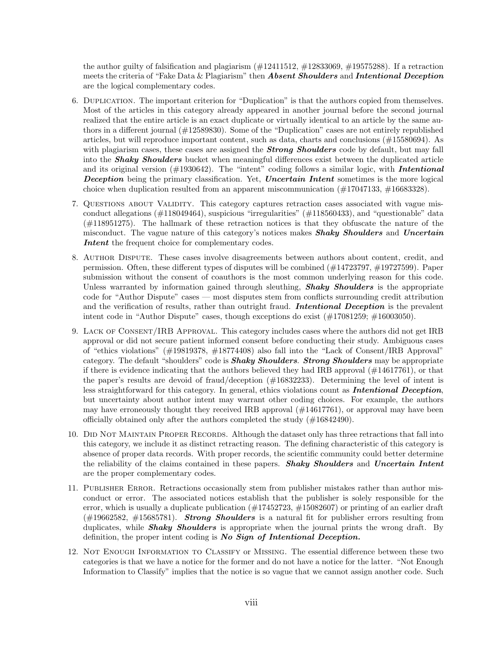the author guilty of falsification and plagiarism  $(\#12411512, \#12833069, \#19575288)$ . If a retraction meets the criteria of "Fake Data & Plagiarism" then **Absent Shoulders** and **Intentional Deception** are the logical complementary codes.

- 6. Duplication. The important criterion for "Duplication" is that the authors copied from themselves. Most of the articles in this category already appeared in another journal before the second journal realized that the entire article is an exact duplicate or virtually identical to an article by the same authors in a different journal (#12589830). Some of the "Duplication" cases are not entirely republished articles, but will reproduce important content, such as data, charts and conclusions (#15580694). As with plagiarism cases, these cases are assigned the **Strong Shoulders** code by default, but may fall into the **Shaky Shoulders** bucket when meaningful differences exist between the duplicated article and its original version  $(\#1930642)$ . The "intent" coding follows a similar logic, with **Intentional Deception** being the primary classification. Yet, **Uncertain Intent** sometimes is the more logical choice when duplication resulted from an apparent miscommunication  $(\#17047133, \#16683328)$ .
- 7. Questions about Validity. This category captures retraction cases associated with vague misconduct allegations (#118049464), suspicious "irregularities" (#118560433), and "questionable" data (#118951275). The hallmark of these retraction notices is that they obfuscate the nature of the misconduct. The vague nature of this category's notices makes **Shaky Shoulders** and **Uncertain** Intent the frequent choice for complementary codes.
- 8. Author Dispute. These cases involve disagreements between authors about content, credit, and permission. Often, these different types of disputes will be combined (#14723797, #19727599). Paper submission without the consent of coauthors is the most common underlying reason for this code. Unless warranted by information gained through sleuthing, **Shaky Shoulders** is the appropriate code for "Author Dispute" cases — most disputes stem from conflicts surrounding credit attribution and the verification of results, rather than outright fraud. **Intentional Deception** is the prevalent intent code in "Author Dispute" cases, though exceptions do exist (#17081259; #16003050).
- 9. Lack of Consent/IRB Approval. This category includes cases where the authors did not get IRB approval or did not secure patient informed consent before conducting their study. Ambiguous cases of "ethics violations" (#19819378, #18774408) also fall into the "Lack of Consent/IRB Approval" category. The default "shoulders" code is **Shaky Shoulders. Strong Shoulders** may be appropriate if there is evidence indicating that the authors believed they had IRB approval  $(\#14617761)$ , or that the paper's results are devoid of fraud/deception (#16832233). Determining the level of intent is less straightforward for this category. In general, ethics violations count as **Intentional Deception**, but uncertainty about author intent may warrant other coding choices. For example, the authors may have erroneously thought they received IRB approval  $(\#14617761)$ , or approval may have been officially obtained only after the authors completed the study (#16842490).
- 10. DID NOT MAINTAIN PROPER RECORDS. Although the dataset only has three retractions that fall into this category, we include it as distinct retracting reason. The defining characteristic of this category is absence of proper data records. With proper records, the scientific community could better determine the reliability of the claims contained in these papers. **Shaky Shoulders** and **Uncertain Intent** are the proper complementary codes.
- 11. Publisher Error. Retractions occasionally stem from publisher mistakes rather than author misconduct or error. The associated notices establish that the publisher is solely responsible for the error, which is usually a duplicate publication  $(\#17452723, \#15082607)$  or printing of an earlier draft  $(\#19662582, \#15685781)$ . **Strong Shoulders** is a natural fit for publisher errors resulting from duplicates, while **Shaky Shoulders** is appropriate when the journal prints the wrong draft. By definition, the proper intent coding is  $No$   $Sign$  of Intentional Deception.
- 12. Not Enough Information to Classify or Missing. The essential difference between these two categories is that we have a notice for the former and do not have a notice for the latter. "Not Enough Information to Classify" implies that the notice is so vague that we cannot assign another code. Such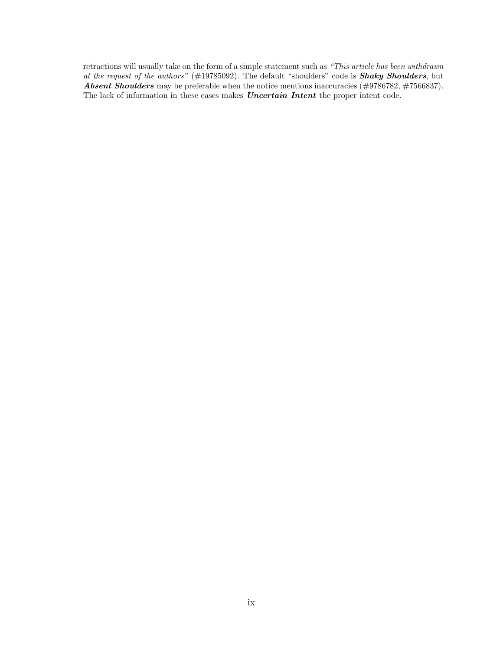retractions will usually take on the form of a simple statement such as "This article has been withdrawn at the request of the authors" (#19785092). The default "shoulders" code is **Shaky Shoulders**, but **Absent Shoulders** may be preferable when the notice mentions inaccuracies  $(\#9786782, \#7566837)$ . The lack of information in these cases makes **Uncertain Intent** the proper intent code.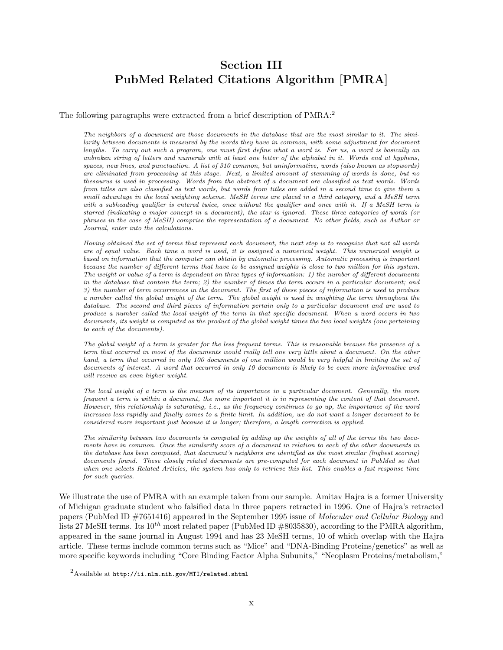# Section III PubMed Related Citations Algorithm [PMRA]

The following paragraphs were extracted from a brief description of PMRA:<sup>2</sup>

The neighbors of a document are those documents in the database that are the most similar to it. The similarity between documents is measured by the words they have in common, with some adjustment for document lengths. To carry out such a program, one must first define what a word is. For us, a word is basically an unbroken string of letters and numerals with at least one letter of the alphabet in it. Words end at hyphens, spaces, new lines, and punctuation. A list of 310 common, but uninformative, words (also known as stopwords) are eliminated from processing at this stage. Next, a limited amount of stemming of words is done, but no thesaurus is used in processing. Words from the abstract of a document are classified as text words. Words from titles are also classified as text words, but words from titles are added in a second time to give them a small advantage in the local weighting scheme. MeSH terms are placed in a third category, and a MeSH term with a subheading qualifier is entered twice, once without the qualifier and once with it. If a MeSH term is starred (indicating a major concept in a document), the star is ignored. These three categories of words (or phrases in the case of MeSH) comprise the representation of a document. No other fields, such as Author or Journal, enter into the calculations.

Having obtained the set of terms that represent each document, the next step is to recognize that not all words are of equal value. Each time a word is used, it is assigned a numerical weight. This numerical weight is based on information that the computer can obtain by automatic processing. Automatic processing is important because the number of different terms that have to be assigned weights is close to two million for this system. The weight or value of a term is dependent on three types of information: 1) the number of different documents in the database that contain the term; 2) the number of times the term occurs in a particular document; and 3) the number of term occurrences in the document. The first of these pieces of information is used to produce a number called the global weight of the term. The global weight is used in weighting the term throughout the database. The second and third pieces of information pertain only to a particular document and are used to produce a number called the local weight of the term in that specific document. When a word occurs in two documents, its weight is computed as the product of the global weight times the two local weights (one pertaining to each of the documents).

The global weight of a term is greater for the less frequent terms. This is reasonable because the presence of a term that occurred in most of the documents would really tell one very little about a document. On the other hand, a term that occurred in only 100 documents of one million would be very helpful in limiting the set of documents of interest. A word that occurred in only 10 documents is likely to be even more informative and will receive an even higher weight.

The local weight of a term is the measure of its importance in a particular document. Generally, the more frequent a term is within a document, the more important it is in representing the content of that document. However, this relationship is saturating, i.e., as the frequency continues to go up, the importance of the word increases less rapidly and finally comes to a finite limit. In addition, we do not want a longer document to be considered more important just because it is longer; therefore, a length correction is applied.

The similarity between two documents is computed by adding up the weights of all of the terms the two documents have in common. Once the similarity score of a document in relation to each of the other documents in the database has been computed, that document's neighbors are identified as the most similar (highest scoring) documents found. These closely related documents are pre-computed for each document in PubMed so that when one selects Related Articles, the system has only to retrieve this list. This enables a fast response time for such queries.

We illustrate the use of PMRA with an example taken from our sample. Amitav Hajra is a former University of Michigan graduate student who falsified data in three papers retracted in 1996. One of Hajra's retracted papers (PubMed ID #7651416) appeared in the September 1995 issue of Molecular and Cellular Biology and lists 27 MeSH terms. Its  $10^{th}$  most related paper (PubMed ID  $\#8035830$ ), according to the PMRA algorithm, appeared in the same journal in August 1994 and has 23 MeSH terms, 10 of which overlap with the Hajra article. These terms include common terms such as "Mice" and "DNA-Binding Proteins/genetics" as well as more specific keywords including "Core Binding Factor Alpha Subunits," "Neoplasm Proteins/metabolism,"

 $^{2}$ Available at http://ii.nlm.nih.gov/MTI/related.shtml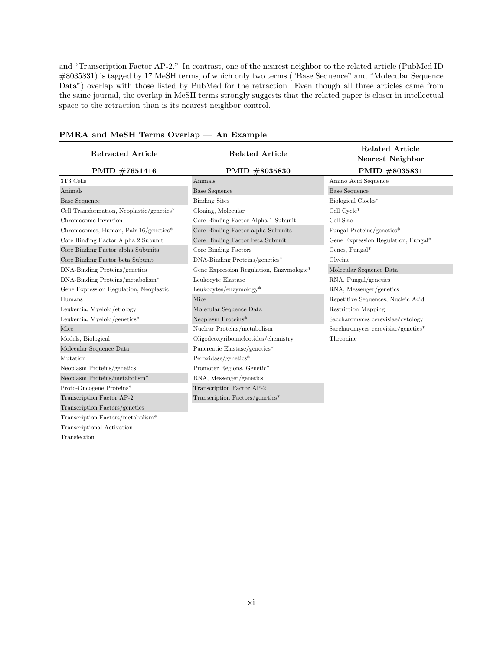and "Transcription Factor AP-2." In contrast, one of the nearest neighbor to the related article (PubMed ID #8035831) is tagged by 17 MeSH terms, of which only two terms ("Base Sequence" and "Molecular Sequence Data") overlap with those listed by PubMed for the retraction. Even though all three articles came from the same journal, the overlap in MeSH terms strongly suggests that the related paper is closer in intellectual space to the retraction than is its nearest neighbor control.

| <b>Retracted Article</b>                  | <b>Related Article</b>                   | <b>Related Article</b><br><b>Nearest Neighbor</b> |
|-------------------------------------------|------------------------------------------|---------------------------------------------------|
| PMID $\#7651416$                          | PMID #8035830                            | PMID #8035831                                     |
| 3T3 Cells                                 | Animals                                  | Amino Acid Sequence                               |
| Animals                                   | <b>Base Sequence</b>                     | <b>Base Sequence</b>                              |
| <b>Base Sequence</b>                      | <b>Binding Sites</b>                     | Biological Clocks*                                |
| Cell Transformation, Neoplastic/genetics* | Cloning, Molecular                       | Cell Cycle*                                       |
| Chromosome Inversion                      | Core Binding Factor Alpha 1 Subunit      | Cell Size                                         |
| Chromosomes, Human, Pair 16/genetics*     | Core Binding Factor alpha Subunits       | Fungal Proteins/genetics*                         |
| Core Binding Factor Alpha 2 Subunit       | Core Binding Factor beta Subunit         | Gene Expression Regulation, Fungal*               |
| Core Binding Factor alpha Subunits        | Core Binding Factors                     | Genes, Fungal*                                    |
| Core Binding Factor beta Subunit          | DNA-Binding Proteins/genetics*           | Glycine                                           |
| DNA-Binding Proteins/genetics             | Gene Expression Regulation, Enzymologic* | Molecular Sequence Data                           |
| DNA-Binding Proteins/metabolism*          | Leukocyte Elastase                       | RNA, Fungal/genetics                              |
| Gene Expression Regulation, Neoplastic    | Leukocytes/enzymology*                   | RNA, Messenger/genetics                           |
| Humans                                    | Mice                                     | Repetitive Sequences, Nucleic Acid                |
| Leukemia, Myeloid/etiology                | Molecular Sequence Data                  | <b>Restriction Mapping</b>                        |
| Leukemia, Myeloid/genetics*               | Neoplasm Proteins*                       | Saccharomyces cerevisiae/cytology                 |
| Mice                                      | Nuclear Proteins/metabolism              | Saccharomyces cerevisiae/genetics*                |
| Models, Biological                        | Oligodeoxyribonucleotides/chemistry      | Threonine                                         |
| Molecular Sequence Data                   | Pancreatic Elastase/genetics*            |                                                   |
| Mutation                                  | Peroxidase/genetics*                     |                                                   |
| Neoplasm Proteins/genetics                | Promoter Regions, Genetic*               |                                                   |
| Neoplasm Proteins/metabolism*             | RNA, Messenger/genetics                  |                                                   |
| Proto-Oncogene Proteins*                  | Transcription Factor AP-2                |                                                   |
| Transcription Factor AP-2                 | Transcription Factors/genetics*          |                                                   |
| Transcription Factors/genetics            |                                          |                                                   |
| Transcription Factors/metabolism*         |                                          |                                                   |
| Transcriptional Activation                |                                          |                                                   |
| Transfection                              |                                          |                                                   |

#### PMRA and MeSH Terms Overlap — An Example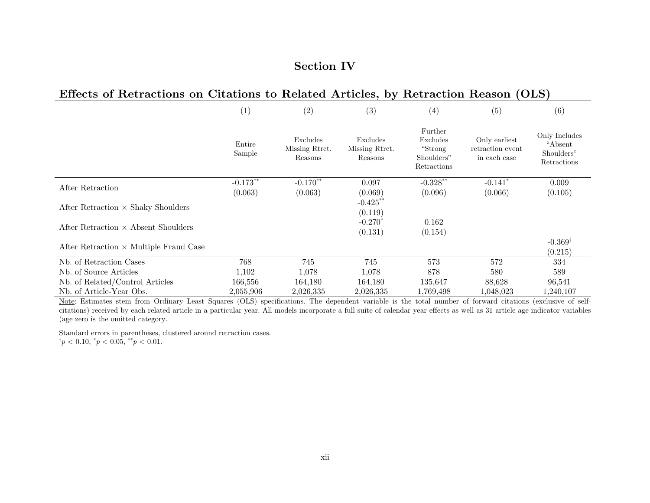## **Section IV**

## **Effects of Retractions on Citations to Related Articles, by Retraction Reason (OLS)**

|                                               | (1)                    | $\left( 2\right)$                     | (3)                                   | (4)                                                          | (5)                                               | (6)                                                    |
|-----------------------------------------------|------------------------|---------------------------------------|---------------------------------------|--------------------------------------------------------------|---------------------------------------------------|--------------------------------------------------------|
|                                               | Entire<br>Sample       | Excludes<br>Missing Rtrct.<br>Reasons | Excludes<br>Missing Rtrct.<br>Reasons | Further<br>Excludes<br>"Strong"<br>Shoulders"<br>Retractions | Only earliest<br>retraction event<br>in each case | Only Includes<br>"Absent"<br>Shoulders"<br>Retractions |
| After Retraction                              | $-0.173***$<br>(0.063) | $-0.170$ **<br>(0.063)                | 0.097<br>(0.069)                      | $-0.328***$<br>(0.096)                                       | $-0.141$<br>(0.066)                               | 0.009<br>(0.105)                                       |
| After Retraction $\times$ Shaky Shoulders     |                        |                                       | $-0.425$ **<br>(0.119)                |                                                              |                                                   |                                                        |
| After Retraction $\times$ Absent Shoulders    |                        |                                       | $-0.270$ <sup>*</sup><br>(0.131)      | 0.162<br>(0.154)                                             |                                                   |                                                        |
| After Retraction $\times$ Multiple Fraud Case |                        |                                       |                                       |                                                              |                                                   | $-0.369^{\dagger}$<br>(0.215)                          |
| Nb. of Retraction Cases                       | 768                    | 745                                   | 745                                   | 573                                                          | 572                                               | 334                                                    |
| Nb. of Source Articles                        | 1,102                  | 1,078                                 | 1,078                                 | 878                                                          | 580                                               | 589                                                    |
| Nb. of Related/Control Articles               | 166,556                | 164,180                               | 164,180                               | 135,647                                                      | 88,628                                            | 96,541                                                 |
| Nb. of Article-Year Obs.                      | 2,055,906              | 2,026,335                             | 2,026,335                             | 1,769,498                                                    | 1,048,023                                         | 1,240,107                                              |

Note: Estimates stem from Ordinary Least Squares (OLS) specifications. The dependent variable is the total number of forward citations (exclusive of selfcitations) received by each related article in a particular year. All models incorporate a full suite of calendar year effects as well as 31 article age indicator variables (age zero is the omitted category.

Standard errors in parentheses, clustered around retraction cases.  $\phi^{\dagger}p < 0.10, \phi^{\dagger}p < 0.05, \phi^{\dagger}p < 0.01.$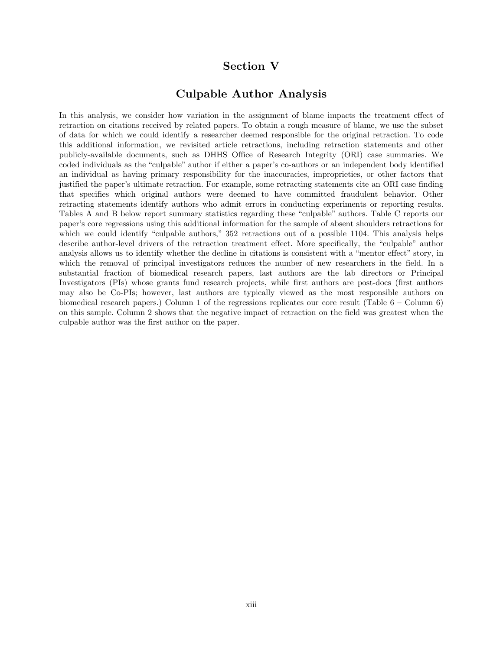## **Section V**

## **Culpable Author Analysis**

In this analysis, we consider how variation in the assignment of blame impacts the treatment effect of retraction on citations received by related papers. To obtain a rough measure of blame, we use the subset of data for which we could identify a researcher deemed responsible for the original retraction. To code this additional information, we revisited article retractions, including retraction statements and other publicly-available documents, such as DHHS Office of Research Integrity (ORI) case summaries. We coded individuals as the "culpable" author if either a paper's co-authors or an independent body identified an individual as having primary responsibility for the inaccuracies, improprieties, or other factors that justified the paper's ultimate retraction. For example, some retracting statements cite an ORI case finding that specifies which original authors were deemed to have committed fraudulent behavior. Other retracting statements identify authors who admit errors in conducting experiments or reporting results. Tables A and B below report summary statistics regarding these "culpable" authors. Table C reports our paper's core regressions using this additional information for the sample of absent shoulders retractions for which we could identify "culpable authors," 352 retractions out of a possible 1104. This analysis helps describe author-level drivers of the retraction treatment effect. More specifically, the "culpable" author analysis allows us to identify whether the decline in citations is consistent with a "mentor effect" story, in which the removal of principal investigators reduces the number of new researchers in the field. In a substantial fraction of biomedical research papers, last authors are the lab directors or Principal Investigators (PIs) whose grants fund research projects, while first authors are post-docs (first authors may also be Co-PIs; however, last authors are typically viewed as the most responsible authors on biomedical research papers.) Column 1 of the regressions replicates our core result (Table 6 – Column 6) on this sample. Column 2 shows that the negative impact of retraction on the field was greatest when the culpable author was the first author on the paper.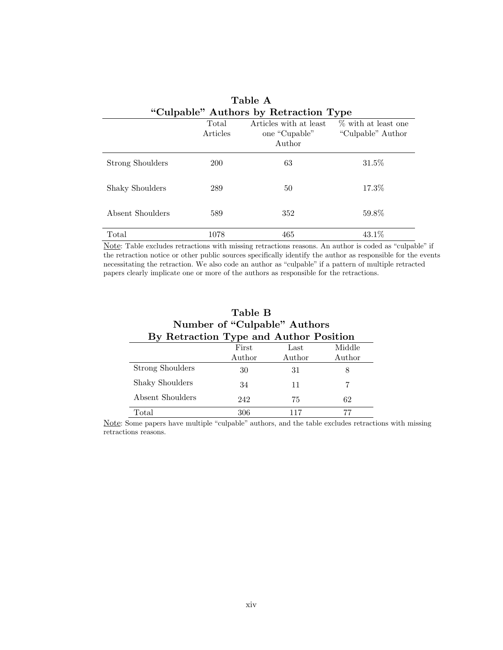| Table A<br>"Culpable" Authors by Retraction Type |                   |                                                   |                                          |
|--------------------------------------------------|-------------------|---------------------------------------------------|------------------------------------------|
|                                                  | Total<br>Articles | Articles with at least<br>one "Cupable"<br>Author | % with at least one<br>"Culpable" Author |
| Strong Shoulders                                 | <b>200</b>        | 63                                                | $31.5\%$                                 |
| Shaky Shoulders                                  | 289               | 50                                                | 17.3%                                    |
| Absent Shoulders                                 | 589               | 352                                               | 59.8%                                    |
| Total                                            | 1078              | 465                                               | $43.1\%$                                 |

Note: Table excludes retractions with missing retractions reasons. An author is coded as "culpable" if the retraction notice or other public sources specifically identify the author as responsible for the events necessitating the retraction. We also code an author as "culpable" if a pattern of multiple retracted papers clearly implicate one or more of the authors as responsible for the retractions.

| Table B                                |        |        |        |  |
|----------------------------------------|--------|--------|--------|--|
| Number of "Culpable" Authors           |        |        |        |  |
| By Retraction Type and Author Position |        |        |        |  |
|                                        | First  | Last   | Middle |  |
|                                        | Author | Author | Author |  |
| Strong Shoulders                       | 30     | 31     | 8      |  |
| Shaky Shoulders                        | 34     | 11     | 7      |  |
| Absent Shoulders                       | 242    | 75     | 62     |  |
| Total                                  | 306    | 117    |        |  |

Note: Some papers have multiple "culpable" authors, and the table excludes retractions with missing retractions reasons.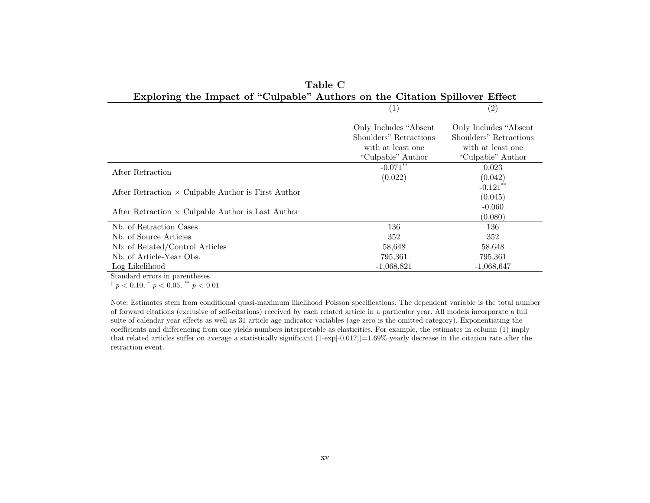| Exploring the Impact of "Culpable" Authors on the Citation Spillover Effect |                        |                        |  |
|-----------------------------------------------------------------------------|------------------------|------------------------|--|
|                                                                             | $\left( 1\right)$      | $\left( 2\right)$      |  |
|                                                                             | Only Includes "Absent" | Only Includes "Absent" |  |
|                                                                             | Shoulders" Retractions | Shoulders" Retractions |  |
|                                                                             | with at least one      | with at least one      |  |
|                                                                             | "Culpable" Author      | "Culpable" Author      |  |
| After Retraction                                                            | $-0.071***$            | 0.023                  |  |
|                                                                             | (0.022)                | (0.042)                |  |
|                                                                             |                        | $-0.121$ **            |  |
| After Retraction $\times$ Culpable Author is First Author                   |                        | (0.045)                |  |
|                                                                             |                        | $-0.060$               |  |
| After Retraction $\times$ Culpable Author is Last Author                    |                        | (0.080)                |  |
| Nb. of Retraction Cases                                                     | 136                    | 136                    |  |
| Nb. of Source Articles                                                      | 352                    | 352                    |  |
| Nb. of Related/Control Articles                                             | 58,648                 | 58,648                 |  |
| Nb. of Article-Year Obs.                                                    | 795,361                | 795,361                |  |
| Log Likelihood                                                              | $-1,068,821$           | $-1,068,647$           |  |

**Table C** 

Standard errors in parentheses

 $\frac{1}{p}$   $p$  < 0.10,  $\frac{1}{p}$   $p$  < 0.05,  $\frac{1}{p}$   $p$  < 0.01

Note: Estimates stem from conditional quasi-maximum likelihood Poisson specifications. The dependent variable is the total number of forward citations (exclusive of self-citations) received by each related article in a particular year. All models incorporate a full suite of calendar year effects as well as 31 article age indicator variables (age zero is the omitted category). Exponentiating the coefficients and differencing from one yields numbers interpretable as elasticities. For example, the estimates in column (1) imply that related articles suffer on average a statistically significant (1-exp[-0.017])=1.69% yearly decrease in the citation rate after the retraction event.